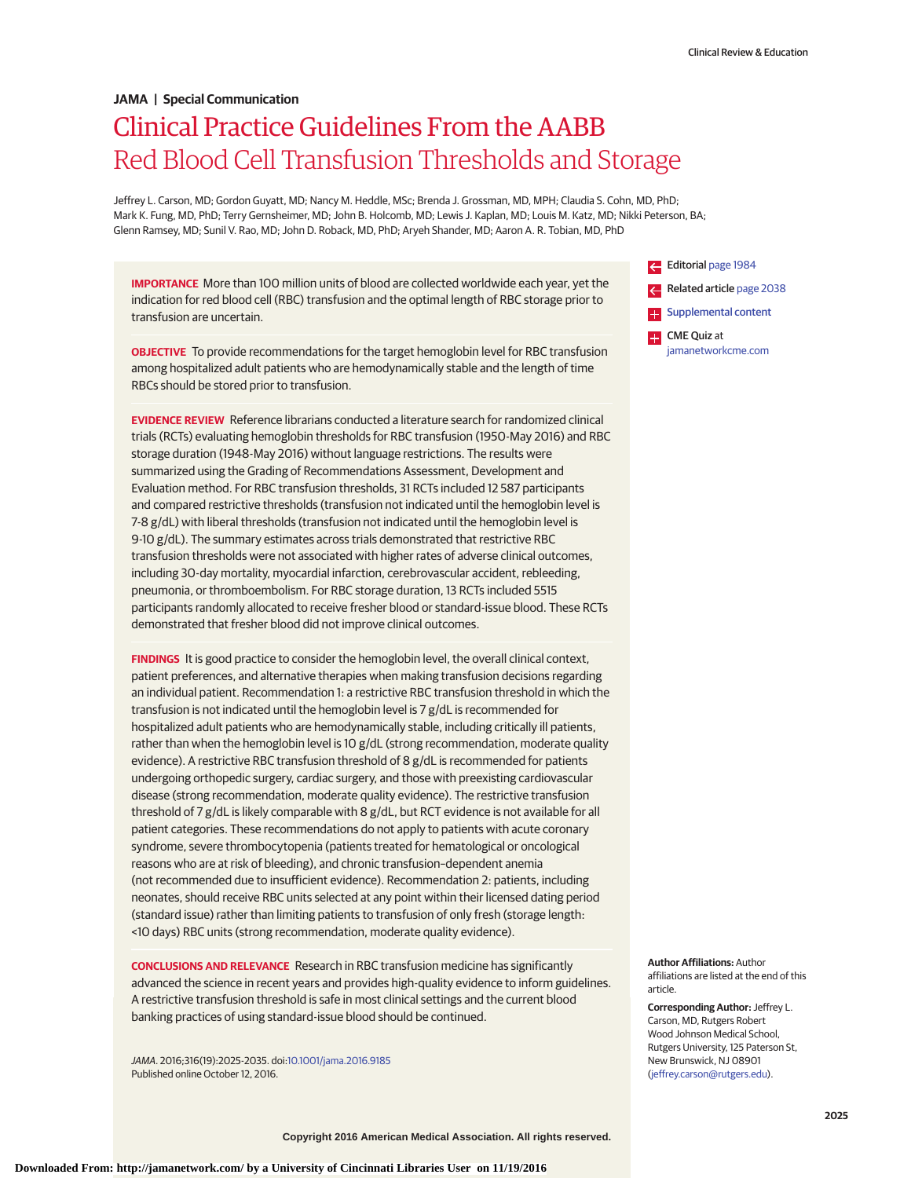## **JAMA | Special Communication**

# Clinical Practice Guidelines From the AABB Red Blood Cell Transfusion Thresholds and Storage

Jeffrey L. Carson, MD; Gordon Guyatt, MD; Nancy M. Heddle, MSc; Brenda J. Grossman, MD, MPH; Claudia S. Cohn, MD, PhD; Mark K. Fung, MD, PhD; Terry Gernsheimer, MD; John B. Holcomb, MD; Lewis J. Kaplan, MD; Louis M. Katz, MD; Nikki Peterson, BA; Glenn Ramsey, MD; Sunil V. Rao, MD; John D. Roback, MD, PhD; Aryeh Shander, MD; Aaron A. R. Tobian, MD, PhD

**IMPORTANCE** More than 100 million units of blood are collected worldwide each year, yet the indication for red blood cell (RBC) transfusion and the optimal length of RBC storage prior to transfusion are uncertain.

**OBJECTIVE** To provide recommendations for the target hemoglobin level for RBC transfusion among hospitalized adult patients who are hemodynamically stable and the length of time RBCs should be stored prior to transfusion.

**EVIDENCE REVIEW** Reference librarians conducted a literature search for randomized clinical trials (RCTs) evaluating hemoglobin thresholds for RBC transfusion (1950-May 2016) and RBC storage duration (1948-May 2016) without language restrictions. The results were summarized using the Grading of Recommendations Assessment, Development and Evaluation method. For RBC transfusion thresholds, 31 RCTs included 12 587 participants and compared restrictive thresholds (transfusion not indicated until the hemoglobin level is 7-8 g/dL) with liberal thresholds (transfusion not indicated until the hemoglobin level is 9-10 g/dL). The summary estimates across trials demonstrated that restrictive RBC transfusion thresholds were not associated with higher rates of adverse clinical outcomes, including 30-day mortality, myocardial infarction, cerebrovascular accident, rebleeding, pneumonia, or thromboembolism. For RBC storage duration, 13 RCTs included 5515 participants randomly allocated to receive fresher blood or standard-issue blood. These RCTs demonstrated that fresher blood did not improve clinical outcomes.

**FINDINGS** It is good practice to consider the hemoglobin level, the overall clinical context, patient preferences, and alternative therapies when making transfusion decisions regarding an individual patient. Recommendation 1: a restrictive RBC transfusion threshold in which the transfusion is not indicated until the hemoglobin level is 7 g/dL is recommended for hospitalized adult patients who are hemodynamically stable, including critically ill patients, rather than when the hemoglobin level is 10 g/dL (strong recommendation, moderate quality evidence). A restrictive RBC transfusion threshold of 8 g/dL is recommended for patients undergoing orthopedic surgery, cardiac surgery, and those with preexisting cardiovascular disease (strong recommendation, moderate quality evidence). The restrictive transfusion threshold of 7 g/dL is likely comparable with 8 g/dL, but RCT evidence is not available for all patient categories. These recommendations do not apply to patients with acute coronary syndrome, severe thrombocytopenia (patients treated for hematological or oncological reasons who are at risk of bleeding), and chronic transfusion–dependent anemia (not recommended due to insufficient evidence). Recommendation 2: patients, including neonates, should receive RBC units selected at any point within their licensed dating period (standard issue) rather than limiting patients to transfusion of only fresh (storage length: <10 days) RBC units (strong recommendation, moderate quality evidence).

**CONCLUSIONS AND RELEVANCE** Research in RBC transfusion medicine has significantly advanced the science in recent years and provides high-quality evidence to inform guidelines. A restrictive transfusion threshold is safe in most clinical settings and the current blood banking practices of using standard-issue blood should be continued.

JAMA. 2016;316(19):2025-2035. doi[:10.1001/jama.2016.9185](http://jama.jamanetwork.com/article.aspx?doi=10.1001/jama.2016.9185&utm_campaign=articlePDF%26utm_medium=articlePDFlink%26utm_source=articlePDF%26utm_content=jama.2016.9185) Published online October 12, 2016.

Editorial [page 1984](http://jama.jamanetwork.com/article.aspx?doi=10.1001/jama.2016.10887&utm_campaign=articlePDF%26utm_medium=articlePDFlink%26utm_source=articlePDF%26utm_content=jama.2016.9185) Related article [page 2038](http://jama.jamanetwork.com/article.aspx?doi=10.1001/jama.2016.12870&utm_campaign=articlePDF%26utm_medium=articlePDFlink%26utm_source=articlePDF%26utm_content=jama.2016.9185) **Examplemental content CME** Quiz at [jamanetworkcme.com](http://www.jamanetwork.com/cme.aspx?&utm_campaign=articlePDF%26utm_medium=articlePDFlink%26utm_source=articlePDF%26utm_content=jama.2016.9185)

**Author Affiliations:** Author affiliations are listed at the end of this article.

**Corresponding Author:** Jeffrey L. Carson, MD, Rutgers Robert Wood Johnson Medical School, Rutgers University, 125 Paterson St, New Brunswick, NJ 08901 [\(jeffrey.carson@rutgers.edu\)](mailto:jeffrey.carson@rutgers.edu).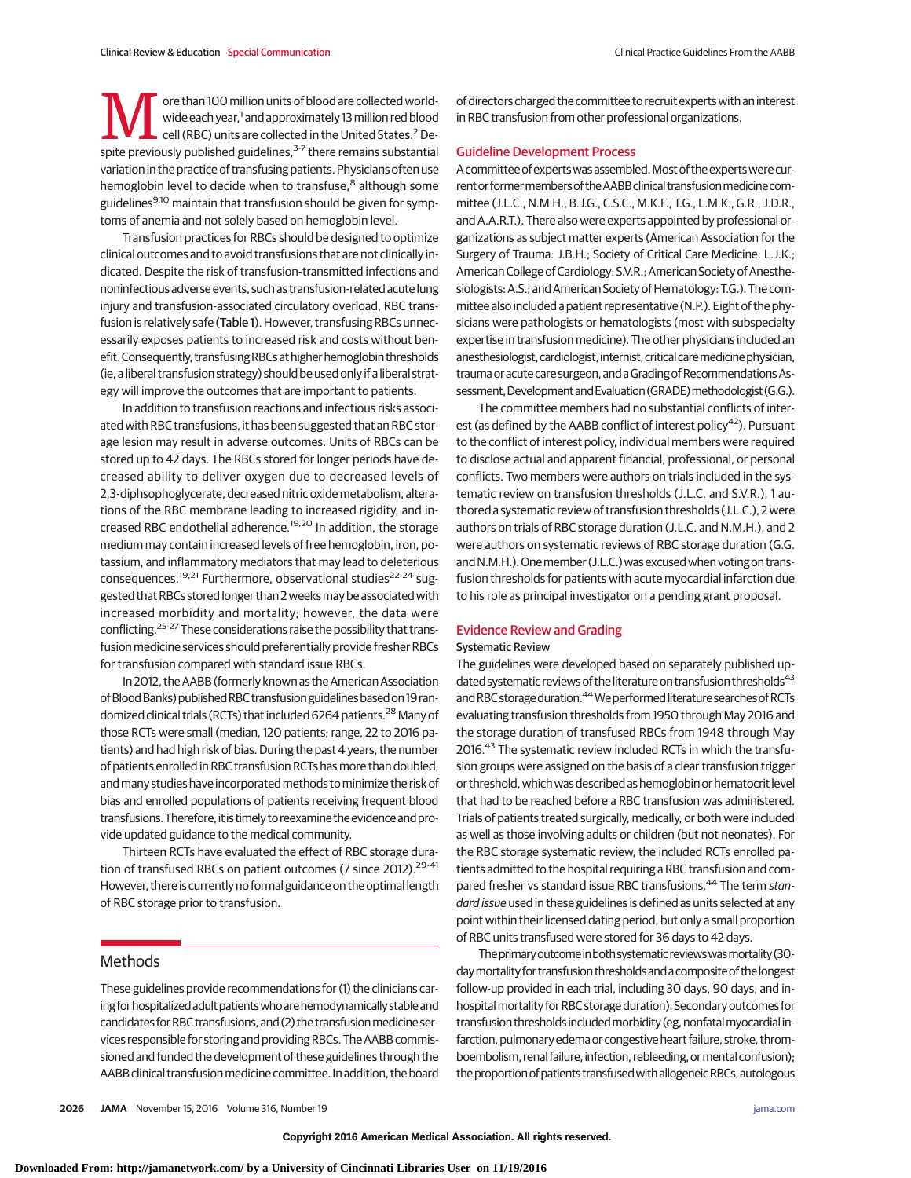The ore than 100 million units of blood are collected world-<br>wide each year,<sup>1</sup> and approximately 13 million red blood<br>cell (RBC) units are collected in the United States.<sup>2</sup> Dewide each year,<sup>1</sup> and approximately 13 million red blood cell (RBC) units are collected in the United States.<sup>2</sup> Despite previously published guidelines, $3-7$  there remains substantial variation in the practice of transfusing patients. Physicians often use hemoglobin level to decide when to transfuse,<sup>8</sup> although some guidelines<sup>9,10</sup> maintain that transfusion should be given for symptoms of anemia and not solely based on hemoglobin level.

Transfusion practices for RBCs should be designed to optimize clinical outcomes and to avoid transfusions that are not clinically indicated. Despite the risk of transfusion-transmitted infections and noninfectious adverse events, such as transfusion-related acute lung injury and transfusion-associated circulatory overload, RBC transfusion is relatively safe (Table 1). However, transfusing RBCs unnecessarily exposes patients to increased risk and costs without benefit. Consequently, transfusing RBCs at higher hemoglobin thresholds (ie, a liberal transfusion strategy) should be used only if a liberal strategy will improve the outcomes that are important to patients.

In addition to transfusion reactions and infectious risks associated with RBC transfusions, it has been suggested that an RBC storage lesion may result in adverse outcomes. Units of RBCs can be stored up to 42 days. The RBCs stored for longer periods have decreased ability to deliver oxygen due to decreased levels of 2,3-diphsophoglycerate, decreased nitric oxide metabolism, alterations of the RBC membrane leading to increased rigidity, and increased RBC endothelial adherence.<sup>19,20</sup> In addition, the storage medium may contain increased levels of free hemoglobin, iron, potassium, and inflammatory mediators that may lead to deleterious consequences.<sup>19,21</sup> Furthermore, observational studies<sup>22-24</sup> suggested that RBCs stored longer than 2 weeksmay be associated with increased morbidity and mortality; however, the data were conflicting.<sup>25-27</sup> These considerations raise the possibility that transfusion medicine services should preferentially provide fresher RBCs for transfusion compared with standard issue RBCs.

In 2012, the AABB (formerly known as the American Association of Blood Banks) published RBC transfusion guidelines based on 19 randomized clinical trials (RCTs) that included 6264 patients.<sup>28</sup> Many of those RCTs were small (median, 120 patients; range, 22 to 2016 patients) and had high risk of bias. During the past 4 years, the number of patients enrolled in RBC transfusion RCTs has more than doubled, and many studies have incorporated methods to minimize the risk of bias and enrolled populations of patients receiving frequent blood transfusions. Therefore, it is timely to reexamine the evidence and provide updated guidance to the medical community.

Thirteen RCTs have evaluated the effect of RBC storage duration of transfused RBCs on patient outcomes (7 since 2012).<sup>29-41</sup> However, there is currently no formal guidance on the optimal length of RBC storage prior to transfusion.

## Methods

These guidelines provide recommendations for (1) the clinicians caring for hospitalized adult patients who are hemodynamically stable and candidates for RBC transfusions, and (2) the transfusion medicine services responsible for storing and providing RBCs. The AABB commissioned and funded the development of these guidelines through the AABB clinical transfusion medicine committee. In addition, the board of directors charged the committee to recruit experts with an interest in RBC transfusion from other professional organizations.

#### Guideline Development Process

A committee of experts was assembled. Most of the experts were current or former members of the AABB clinical transfusion medicine committee (J.L.C., N.M.H., B.J.G., C.S.C., M.K.F., T.G., L.M.K., G.R., J.D.R., and A.A.R.T.). There also were experts appointed by professional organizations as subject matter experts (American Association for the Surgery of Trauma: J.B.H.; Society of Critical Care Medicine: L.J.K.; American College of Cardiology: S.V.R.; American Society of Anesthesiologists: A.S.; and American Society of Hematology: T.G.). The committee also included a patient representative (N.P.). Eight of the physicians were pathologists or hematologists (most with subspecialty expertise in transfusion medicine). The other physicians included an anesthesiologist, cardiologist, internist, critical care medicine physician, trauma or acute care surgeon, and a Grading of Recommendations Assessment, Development and Evaluation (GRADE) methodologist (G.G.).

The committee members had no substantial conflicts of interest (as defined by the AABB conflict of interest policy<sup>42</sup>). Pursuant to the conflict of interest policy, individual members were required to disclose actual and apparent financial, professional, or personal conflicts. Two members were authors on trials included in the systematic review on transfusion thresholds (J.L.C. and S.V.R.), 1 authored a systematic review of transfusion thresholds (J.L.C.), 2 were authors on trials of RBC storage duration (J.L.C. and N.M.H.), and 2 were authors on systematic reviews of RBC storage duration (G.G. and N.M.H.). One member (J.L.C.) was excused when voting on transfusion thresholds for patients with acute myocardial infarction due to his role as principal investigator on a pending grant proposal.

### Evidence Review and Grading

#### Systematic Review

The guidelines were developed based on separately published updated systematic reviews of the literature on transfusion thresholds<sup>43</sup> and RBC storage duration.<sup>44</sup> We performed literature searches of RCTs evaluating transfusion thresholds from 1950 through May 2016 and the storage duration of transfused RBCs from 1948 through May 2016.<sup>43</sup> The systematic review included RCTs in which the transfusion groups were assigned on the basis of a clear transfusion trigger or threshold, which was described as hemoglobin or hematocrit level that had to be reached before a RBC transfusion was administered. Trials of patients treated surgically, medically, or both were included as well as those involving adults or children (but not neonates). For the RBC storage systematic review, the included RCTs enrolled patients admitted to the hospital requiring a RBC transfusion and compared fresher vs standard issue RBC transfusions.<sup>44</sup> The term standard issue used in these guidelines is defined as units selected at any point within their licensed dating period, but only a small proportion of RBC units transfused were stored for 36 days to 42 days.

Theprimaryoutcomeinbothsystematicreviewswasmortality(30 daymortality for transfusion thresholdsandacompositeof thelongest follow-up provided in each trial, including 30 days, 90 days, and inhospital mortality for RBC storage duration). Secondary outcomes for transfusion thresholds included morbidity (eg, nonfatal myocardial infarction, pulmonary edema or congestive heart failure, stroke, thromboembolism, renal failure, infection, rebleeding, or mental confusion); the proportion of patients transfused with allogeneic RBCs, autologous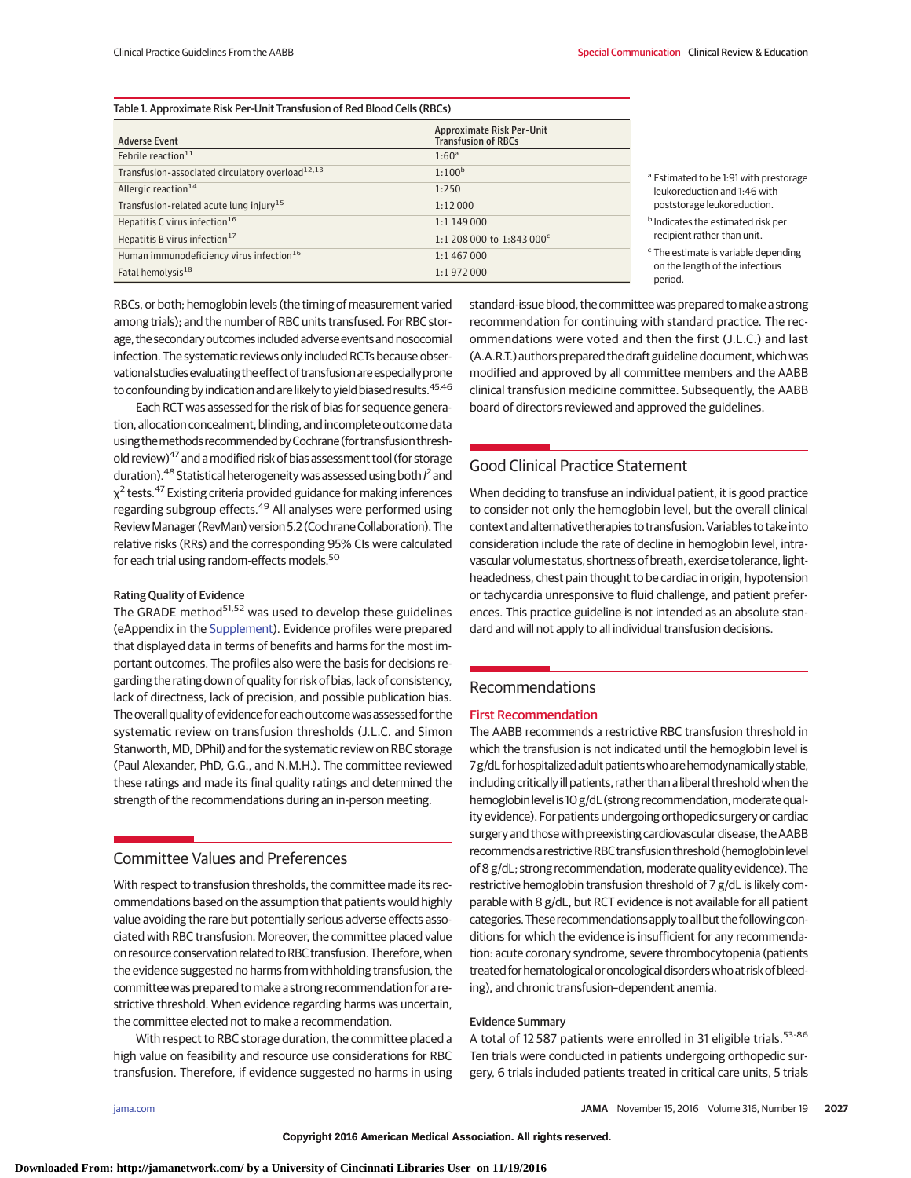| Table 1. Approximate Risk Per-Unit Transfusion of Red Blood Cells (RBCs) |  |  |  |
|--------------------------------------------------------------------------|--|--|--|
|--------------------------------------------------------------------------|--|--|--|

| <b>Adverse Event</b>                                         | Approximate Risk Per-Unit<br><b>Transfusion of RBCs</b> |
|--------------------------------------------------------------|---------------------------------------------------------|
| Febrile reaction <sup>11</sup>                               | $1:60^a$                                                |
| Transfusion-associated circulatory overload <sup>12,13</sup> | $1:100^{b}$                                             |
| Allergic reaction <sup>14</sup>                              | 1:250                                                   |
| Transfusion-related acute lung injury <sup>15</sup>          | 1:12000                                                 |
| Hepatitis C virus infection <sup>16</sup>                    | 1:1149000                                               |
| Hepatitis B virus infection <sup>17</sup>                    | $1:1208000$ to $1:843000^c$                             |
| Human immunodeficiency virus infection <sup>16</sup>         | 1:1467000                                               |
| Fatal hemolysis <sup>18</sup>                                | 1:1972000                                               |

- <sup>a</sup> Estimated to be 1:91 with prestorage leukoreduction and 1:46 with poststorage leukoreduction.
- <sup>b</sup> Indicates the estimated risk per recipient rather than unit.

<sup>c</sup> The estimate is variable depending on the length of the infectious period.

RBCs, or both; hemoglobin levels (the timing of measurement varied among trials); and the number of RBC units transfused. For RBC storage, the secondary outcomes included adverse events and nosocomial infection. The systematic reviews only included RCTs because observational studies evaluating the effect of transfusion are especially prone to confounding by indication and are likely to yield biased results.<sup>45,46</sup>

Each RCT was assessed for the risk of bias for sequence generation, allocation concealment, blinding, and incomplete outcome data using themethods recommendedbyCochrane (for transfusion threshold review)<sup>47</sup> and a modified risk of bias assessment tool (for storage duration).  $^{48}$  Statistical heterogeneity was assessed using both  $l^2$  and  $\chi^2$  tests.<sup>47</sup> Existing criteria provided guidance for making inferences regarding subgroup effects.<sup>49</sup> All analyses were performed using Review Manager (RevMan) version 5.2 (Cochrane Collaboration). The relative risks (RRs) and the corresponding 95% CIs were calculated for each trial using random-effects models.<sup>50</sup>

## Rating Quality of Evidence

The GRADE method $51,52$  was used to develop these guidelines (eAppendix in the [Supplement\)](http://jama.jamanetwork.com/article.aspx?doi=10.1001/jama.2016.9185&utm_campaign=articlePDF%26utm_medium=articlePDFlink%26utm_source=articlePDF%26utm_content=jama.2016.9185). Evidence profiles were prepared that displayed data in terms of benefits and harms for the most important outcomes. The profiles also were the basis for decisions regarding the rating down of quality for risk of bias, lack of consistency, lack of directness, lack of precision, and possible publication bias. The overall quality of evidence for each outcome was assessed for the systematic review on transfusion thresholds (J.L.C. and Simon Stanworth, MD, DPhil) and for the systematic review on RBC storage (Paul Alexander, PhD, G.G., and N.M.H.). The committee reviewed these ratings and made its final quality ratings and determined the strength of the recommendations during an in-person meeting.

# Committee Values and Preferences

With respect to transfusion thresholds, the committee made its recommendations based on the assumption that patients would highly value avoiding the rare but potentially serious adverse effects associated with RBC transfusion. Moreover, the committee placed value on resource conservation related to RBC transfusion. Therefore, when the evidence suggested no harms from withholding transfusion, the committee was prepared tomake a strong recommendation for a restrictive threshold. When evidence regarding harms was uncertain, the committee elected not to make a recommendation.

With respect to RBC storage duration, the committee placed a high value on feasibility and resource use considerations for RBC transfusion. Therefore, if evidence suggested no harms in using standard-issue blood, the committee was prepared tomake a strong recommendation for continuing with standard practice. The recommendations were voted and then the first (J.L.C.) and last (A.A.R.T.) authors prepared the draft guideline document,whichwas modified and approved by all committee members and the AABB clinical transfusion medicine committee. Subsequently, the AABB board of directors reviewed and approved the guidelines.

## Good Clinical Practice Statement

When deciding to transfuse an individual patient, it is good practice to consider not only the hemoglobin level, but the overall clinical contextandalternative therapies to transfusion.Variables to take into consideration include the rate of decline in hemoglobin level, intravascular volume status, shortness of breath, exercise tolerance, lightheadedness, chest pain thought to be cardiac in origin, hypotension or tachycardia unresponsive to fluid challenge, and patient preferences. This practice guideline is not intended as an absolute standard and will not apply to all individual transfusion decisions.

## Recommendations

#### First Recommendation

The AABB recommends a restrictive RBC transfusion threshold in which the transfusion is not indicated until the hemoglobin level is 7 g/dL for hospitalized adult patients who are hemodynamically stable, including critically ill patients, rather than a liberal thresholdwhen the hemoglobin level is 10 g/dL (strong recommendation, moderate quality evidence). For patients undergoing orthopedic surgery or cardiac surgery and those with preexisting cardiovascular disease, the AABB recommends a restrictive RBC transfusion threshold (hemoglobin level of 8 g/dL; strong recommendation, moderate quality evidence). The restrictive hemoglobin transfusion threshold of 7 g/dL is likely comparable with 8 g/dL, but RCT evidence is not available for all patient categories. These recommendations apply to all but the following conditions for which the evidence is insufficient for any recommendation: acute coronary syndrome, severe thrombocytopenia (patients treated for hematological or oncological disorders who at risk of bleeding), and chronic transfusion–dependent anemia.

#### Evidence Summary

A total of 12 587 patients were enrolled in 31 eligible trials.<sup>53-86</sup> Ten trials were conducted in patients undergoing orthopedic surgery, 6 trials included patients treated in critical care units, 5 trials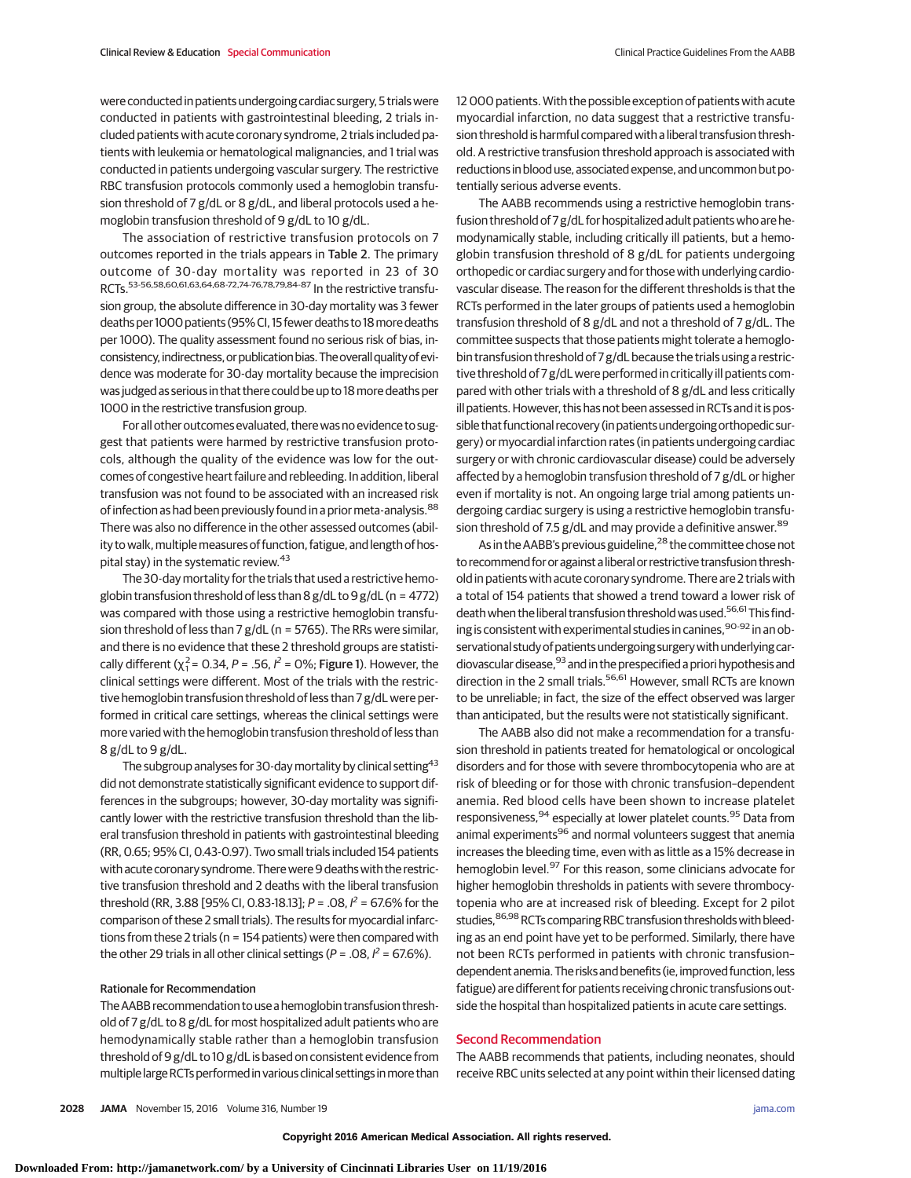were conducted in patients undergoing cardiac surgery, 5 trials were conducted in patients with gastrointestinal bleeding, 2 trials included patients with acute coronary syndrome, 2 trials included patients with leukemia or hematological malignancies, and 1 trial was conducted in patients undergoing vascular surgery. The restrictive RBC transfusion protocols commonly used a hemoglobin transfusion threshold of 7 g/dL or 8 g/dL, and liberal protocols used a hemoglobin transfusion threshold of 9 g/dL to 10 g/dL.

The association of restrictive transfusion protocols on 7 outcomes reported in the trials appears in Table 2. The primary outcome of 30-day mortality was reported in 23 of 30 RCTs.53-56,58,60,61,63,64,68-72,74-76,78,79,84-87 In the restrictive transfusion group, the absolute difference in 30-day mortality was 3 fewer deaths per 1000 patients (95% CI, 15 fewer deaths to 18more deaths per 1000). The quality assessment found no serious risk of bias, inconsistency, indirectness, or publication bias. The overall quality of evidence was moderate for 30-day mortality because the imprecision was judged as serious in that there could be up to 18more deaths per 1000 in the restrictive transfusion group.

For all other outcomes evaluated, there was no evidence to suggest that patients were harmed by restrictive transfusion protocols, although the quality of the evidence was low for the outcomes of congestive heart failure and rebleeding. In addition, liberal transfusion was not found to be associated with an increased risk of infection as had been previously found in a prior meta-analysis.<sup>88</sup> There was also no difference in the other assessed outcomes (ability to walk, multiple measures of function, fatigue, and length of hospital stay) in the systematic review.<sup>43</sup>

The 30-day mortality for the trials that used a restrictive hemoglobin transfusion threshold of less than 8 g/dL to 9 g/dL (n = 4772) was compared with those using a restrictive hemoglobin transfusion threshold of less than 7 g/dL (n = 5765). The RRs were similar, and there is no evidence that these 2 threshold groups are statistically different ( $\chi_1^2$  = 0.34, P = .56,  $l^2$  = 0%; Figure 1). However, the clinical settings were different. Most of the trials with the restrictive hemoglobin transfusion threshold of less than 7 g/dL were performed in critical care settings, whereas the clinical settings were more varied with the hemoglobin transfusion threshold of less than 8 g/dL to 9 g/dL.

The subgroup analyses for 30-day mortality by clinical setting<sup>43</sup> did not demonstrate statistically significant evidence to support differences in the subgroups; however, 30-day mortality was significantly lower with the restrictive transfusion threshold than the liberal transfusion threshold in patients with gastrointestinal bleeding (RR, 0.65; 95% CI, 0.43-0.97). Two small trials included 154 patients with acute coronary syndrome. There were 9 deaths with the restrictive transfusion threshold and 2 deaths with the liberal transfusion threshold (RR, 3.88 [95% CI, 0.83-18.13];  $P = .08$ ,  $I^2 = 67.6\%$  for the comparison of these 2 small trials). The results for myocardial infarctions from these 2 trials (n = 154 patients) were then compared with the other 29 trials in all other clinical settings ( $P = .08$ ,  $I^2 = 67.6\%$ ).

#### Rationale for Recommendation

The AABB recommendation to use a hemoglobin transfusion threshold of 7 g/dL to 8 g/dL for most hospitalized adult patients who are hemodynamically stable rather than a hemoglobin transfusion threshold of 9 g/dL to 10 g/dL is based on consistent evidence from multiple large RCTs performed invarious clinical settings inmore than 12 000 patients.With the possible exception of patients with acute myocardial infarction, no data suggest that a restrictive transfusion threshold is harmful compared with a liberal transfusion threshold. A restrictive transfusion threshold approach is associated with reductions in blood use, associatedexpense, and uncommon but potentially serious adverse events.

The AABB recommends using a restrictive hemoglobin transfusion threshold of 7 g/dL for hospitalized adult patients who are hemodynamically stable, including critically ill patients, but a hemoglobin transfusion threshold of 8 g/dL for patients undergoing orthopedic or cardiac surgery and for those with underlying cardiovascular disease. The reason for the different thresholds is that the RCTs performed in the later groups of patients used a hemoglobin transfusion threshold of 8 g/dL and not a threshold of 7 g/dL. The committee suspects that those patients might tolerate a hemoglobin transfusion threshold of 7 g/dL because the trials using a restrictive threshold of 7 g/dL were performed in critically ill patients compared with other trials with a threshold of 8 g/dL and less critically ill patients. However, this has not been assessed in RCTs and it is possible that functional recovery (in patients undergoing orthopedic surgery) or myocardial infarction rates (in patients undergoing cardiac surgery or with chronic cardiovascular disease) could be adversely affected by a hemoglobin transfusion threshold of 7 g/dL or higher even if mortality is not. An ongoing large trial among patients undergoing cardiac surgery is using a restrictive hemoglobin transfusion threshold of 7.5 g/dL and may provide a definitive answer.<sup>89</sup>

As in the AABB's previous guideline,<sup>28</sup> the committee chose not to recommend for or against a liberal or restrictive transfusion threshold in patients with acute coronary syndrome. There are 2 trials with a total of 154 patients that showed a trend toward a lower risk of death when the liberal transfusion threshold was used.<sup>56,61</sup> This finding is consistent with experimental studies in canines, 90-92 in an observational study of patients undergoing surgerywith underlying cardiovascular disease, <sup>93</sup> and in the prespecified a priori hypothesis and direction in the 2 small trials.<sup>56,61</sup> However, small RCTs are known to be unreliable; in fact, the size of the effect observed was larger than anticipated, but the results were not statistically significant.

The AABB also did not make a recommendation for a transfusion threshold in patients treated for hematological or oncological disorders and for those with severe thrombocytopenia who are at risk of bleeding or for those with chronic transfusion–dependent anemia. Red blood cells have been shown to increase platelet responsiveness, <sup>94</sup> especially at lower platelet counts. <sup>95</sup> Data from animal experiments<sup>96</sup> and normal volunteers suggest that anemia increases the bleeding time, even with as little as a 15% decrease in hemoglobin level.<sup>97</sup> For this reason, some clinicians advocate for higher hemoglobin thresholds in patients with severe thrombocytopenia who are at increased risk of bleeding. Except for 2 pilot studies, <sup>86,98</sup> RCTs comparing RBC transfusion thresholds with bleeding as an end point have yet to be performed. Similarly, there have not been RCTs performed in patients with chronic transfusion– dependent anemia. The risks and benefits (ie, improved function, less fatigue) are different for patients receiving chronic transfusions outside the hospital than hospitalized patients in acute care settings.

#### Second Recommendation

The AABB recommends that patients, including neonates, should receive RBC units selected at any point within their licensed dating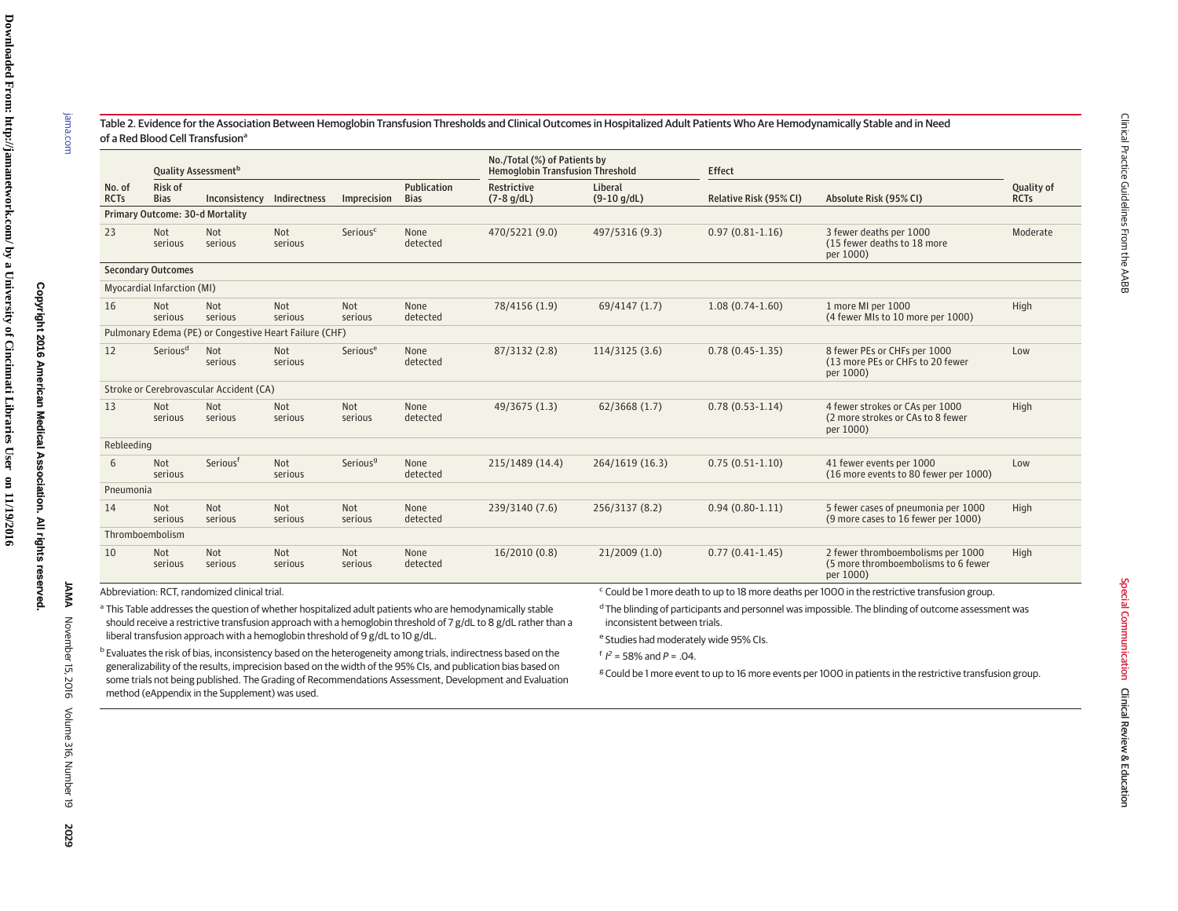| Table 2. Evidence for the Association Between Hemoglobin Transfusion Thresholds and Clinical Outcomes in Hospitalized Adult Patients Who Are Hemodynamically Stable and in Need |
|---------------------------------------------------------------------------------------------------------------------------------------------------------------------------------|
| of a Red Blood Cell Transfusion <sup>a</sup>                                                                                                                                    |

|                       |                                 | Quality Assessment <sup>b</sup>                        |                |                       |                            | No./Total (%) of Patients by<br><b>Hemoglobin Transfusion Threshold</b> |                         | Effect                 |                                                                                       |                           |
|-----------------------|---------------------------------|--------------------------------------------------------|----------------|-----------------------|----------------------------|-------------------------------------------------------------------------|-------------------------|------------------------|---------------------------------------------------------------------------------------|---------------------------|
| No. of<br><b>RCTs</b> | Risk of<br><b>Bias</b>          | Inconsistency                                          | Indirectness   | Imprecision           | Publication<br><b>Bias</b> | Restrictive<br>$(7-8q/dL)$                                              | Liberal<br>$(9-10q/dL)$ | Relative Risk (95% CI) | Absolute Risk (95% CI)                                                                | Quality of<br><b>RCTs</b> |
|                       | Primary Outcome: 30-d Mortality |                                                        |                |                       |                            |                                                                         |                         |                        |                                                                                       |                           |
| 23                    | Not<br>serious                  | Not<br>serious                                         | Not<br>serious | Serious <sup>c</sup>  | None<br>detected           | 470/5221 (9.0)                                                          | 497/5316 (9.3)          | $0.97(0.81-1.16)$      | 3 fewer deaths per 1000<br>(15 fewer deaths to 18 more<br>per 1000)                   | Moderate                  |
|                       | <b>Secondary Outcomes</b>       |                                                        |                |                       |                            |                                                                         |                         |                        |                                                                                       |                           |
|                       | Myocardial Infarction (MI)      |                                                        |                |                       |                            |                                                                         |                         |                        |                                                                                       |                           |
| 16                    | Not<br>serious                  | Not<br>serious                                         | Not<br>serious | <b>Not</b><br>serious | None<br>detected           | 78/4156 (1.9)                                                           | 69/4147(1.7)            | $1.08(0.74-1.60)$      | 1 more MI per 1000<br>(4 fewer MIs to 10 more per 1000)                               | High                      |
|                       |                                 | Pulmonary Edema (PE) or Congestive Heart Failure (CHF) |                |                       |                            |                                                                         |                         |                        |                                                                                       |                           |
| 12                    | Serious <sup>d</sup>            | Not<br>serious                                         | Not<br>serious | Serious <sup>e</sup>  | None<br>detected           | 87/3132 (2.8)                                                           | 114/3125 (3.6)          | $0.78(0.45-1.35)$      | 8 fewer PEs or CHFs per 1000<br>(13 more PEs or CHFs to 20 fewer<br>per 1000)         | Low                       |
|                       |                                 | Stroke or Cerebrovascular Accident (CA)                |                |                       |                            |                                                                         |                         |                        |                                                                                       |                           |
| 13                    | Not<br>serious                  | Not<br>serious                                         | Not<br>serious | <b>Not</b><br>serious | None<br>detected           | 49/3675 (1.3)                                                           | 62/3668(1.7)            | $0.78(0.53-1.14)$      | 4 fewer strokes or CAs per 1000<br>(2 more strokes or CAs to 8 fewer)<br>per 1000)    | High                      |
| Rebleeding            |                                 |                                                        |                |                       |                            |                                                                         |                         |                        |                                                                                       |                           |
| $\sqrt{6}$            | Not<br>serious                  | Seriousf                                               | Not<br>serious | Serious <sup>9</sup>  | None<br>detected           | 215/1489 (14.4)                                                         | 264/1619 (16.3)         | $0.75(0.51-1.10)$      | 41 fewer events per 1000<br>(16 more events to 80 fewer per 1000)                     | Low                       |
| Pneumonia             |                                 |                                                        |                |                       |                            |                                                                         |                         |                        |                                                                                       |                           |
| 14                    | Not<br>serious                  | Not<br>serious                                         | Not<br>serious | <b>Not</b><br>serious | None<br>detected           | 239/3140 (7.6)                                                          | 256/3137 (8.2)          | $0.94(0.80-1.11)$      | 5 fewer cases of pneumonia per 1000<br>(9 more cases to 16 fewer per 1000)            | High                      |
|                       | Thromboembolism                 |                                                        |                |                       |                            |                                                                         |                         |                        |                                                                                       |                           |
| 10                    | Not<br>serious                  | Not<br>serious                                         | Not<br>serious | Not<br>serious        | None<br>detected           | 16/2010 (0.8)                                                           | 21/2009 (1.0)           | $0.77(0.41-1.45)$      | 2 fewer thromboembolisms per 1000<br>(5 more thromboembolisms to 6 fewer<br>per 1000) | High                      |

Abbreviation: RCT, randomized clinical trial.

method (eAppendix in the Supplement) was used.

 $\cdot$  Could be 1 more death to up to 18 more deaths per 1000 in the restrictive transfusion group.

 $^{\text{d}}$  The blinding of participants and personnel was impossible. The blinding of outcome assessment was inconsistent between trials.

 $^{\rm a}$  This Table addresses the question of whether hospitalized adult patients who are hemodynamically stable should receive <sup>a</sup> restrictive transfusion approach with <sup>a</sup> hemoglobin threshold of 7 g/dL to 8 g/dL rather than <sup>a</sup> liberal transfusion approach with <sup>a</sup> hemoglobin threshold of 9 g/dL to 10 g/dL. **b** Evaluates the risk of bias, inconsistency based on the heterogeneity among trials, indirectness based on the

generalizability of the results, imprecision based on the width of the 95% CIs, and publication bias based on some trials not being published. The Grading of Recommendations Assessment, Development and Evaluation e Studies had moderately wide 95% CIs.

 $f$   $l^2$  = 58% and P = .04.

<sup>g</sup> Could be 1 more event to up to 16 more events per 1000 in patients in the restrictive transfusion group.

Special Communication

Eig

Special Communica

Clinical Review & Education

Clinical Review & Education

Clinical Practice Guidelines From the AABB

Guidelines From the AABB

Clinical Practice

Copyright 2016 American Medical

Association. All rights

[jama.com](http://www.jama.com/?utm_campaign=articlePDF%26utm_medium=articlePDFlink%26utm_source=articlePDF%26utm_content=jama.2016.9185)

November 15, 2016 Volume 316, Number 19

**2029**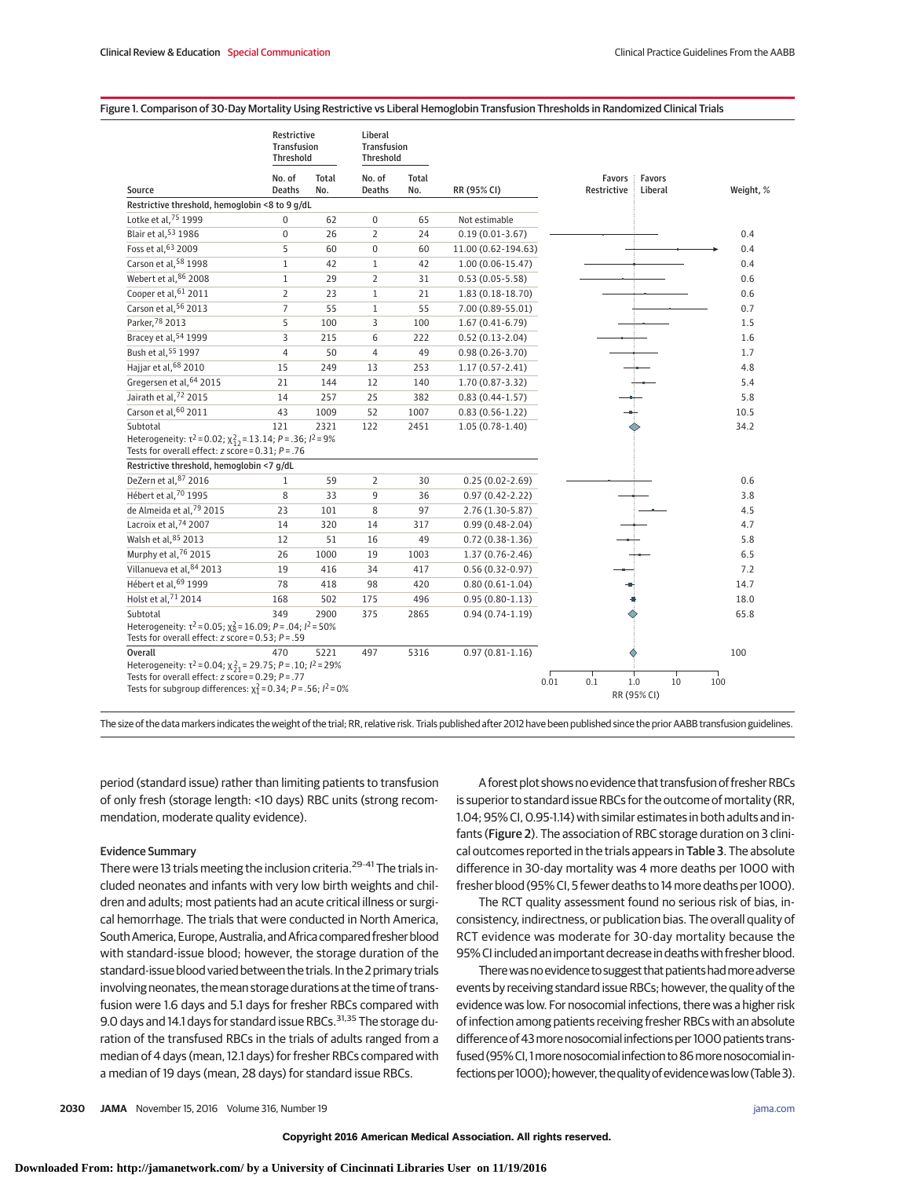#### Figure 1. Comparison of 30-Day Mortality Using Restrictive vs Liberal Hemoglobin Transfusion Thresholds in Randomized Clinical Trials

|                                                                                                                                        | Restrictive<br><b>Transfusion</b><br>Threshold |              | Liberal<br><b>Transfusion</b><br><b>Threshold</b> |              |                      |                    |                          |           |
|----------------------------------------------------------------------------------------------------------------------------------------|------------------------------------------------|--------------|---------------------------------------------------|--------------|----------------------|--------------------|--------------------------|-----------|
| Source                                                                                                                                 | No. of<br>Deaths                               | Total<br>No. | No. of<br>Deaths                                  | Total<br>No. | RR (95% CI)          | Restrictive        | Favors Favors<br>Liberal | Weight, % |
| Restrictive threshold, hemoglobin <8 to 9 g/dL                                                                                         |                                                |              |                                                   |              |                      |                    |                          |           |
| Lotke et al, 75 1999                                                                                                                   | $\mathbf 0$                                    | 62           | $\boldsymbol{0}$                                  | 65           | Not estimable        |                    |                          |           |
| Blair et al, 53 1986                                                                                                                   | $\boldsymbol{0}$                               | 26           | $\overline{2}$                                    | 24           | $0.19(0.01-3.67)$    |                    |                          | 0.4       |
| Foss et al, 63 2009                                                                                                                    | 5                                              | 60           | 0                                                 | 60           | 11.00 (0.62-194.63)  |                    |                          | 0.4       |
| Carson et al, 58 1998                                                                                                                  | $\mathbf{1}$                                   | 42           | $\mathbf{1}$                                      | 42           | $1.00(0.06 - 15.47)$ |                    |                          | 0.4       |
| Webert et al, 86 2008                                                                                                                  | $\mathbf{1}$                                   | 29           | $\overline{2}$                                    | 31           | $0.53(0.05-5.58)$    |                    |                          | 0.6       |
| Cooper et al, 61 2011                                                                                                                  | $\overline{2}$                                 | 23           | $\mathbf{1}$                                      | 21           | 1.83 (0.18-18.70)    |                    |                          | 0.6       |
| Carson et al, 56 2013                                                                                                                  | 7                                              | 55           | $\mathbf{1}$                                      | 55           | 7.00 (0.89-55.01)    |                    |                          | 0.7       |
| Parker, 78 2013                                                                                                                        | 5                                              | 100          | 3                                                 | 100          | $1.67(0.41 - 6.79)$  |                    |                          | 1.5       |
| Bracey et al, 54 1999                                                                                                                  | 3                                              | 215          | 6                                                 | 222          | $0.52(0.13-2.04)$    |                    |                          | 1.6       |
| Bush et al, 55 1997                                                                                                                    | 4                                              | 50           | 4                                                 | 49           | $0.98(0.26 - 3.70)$  |                    |                          | 1.7       |
| Hajjar et al, 68 2010                                                                                                                  | 15                                             | 249          | 13                                                | 253          | $1.17(0.57 - 2.41)$  |                    |                          | 4.8       |
| Gregersen et al, 64 2015                                                                                                               | 21                                             | 144          | 12                                                | 140          | $1.70(0.87 - 3.32)$  |                    |                          | 5.4       |
| Jairath et al, 72 2015                                                                                                                 | 14                                             | 257          | 25                                                | 382          | $0.83(0.44 - 1.57)$  |                    |                          | 5.8       |
| Carson et al, 60 2011                                                                                                                  | 43                                             | 1009         | 52                                                | 1007         | $0.83(0.56 - 1.22)$  |                    |                          | 10.5      |
| Subtotal                                                                                                                               | 121                                            | 2321         | 122                                               | 2451         | $1.05(0.78-1.40)$    |                    |                          | 34.2      |
| Heterogeneity: $\tau^2$ = 0.02; $\chi^2_{12}$ = 13.14; P = .36; $l^2$ = 9%<br>Tests for overall effect: z score = $0.31$ ; P = .76     |                                                |              |                                                   |              |                      |                    |                          |           |
| Restrictive threshold, hemoglobin <7 g/dL                                                                                              |                                                |              |                                                   |              |                      |                    |                          |           |
| DeZern et al, 87 2016                                                                                                                  | $\mathbf{1}$                                   | 59           | $\overline{2}$                                    | 30           | $0.25(0.02 - 2.69)$  |                    |                          | 0.6       |
| Hébert et al, 70 1995                                                                                                                  | 8                                              | 33           | 9                                                 | 36           | $0.97(0.42 - 2.22)$  |                    |                          | 3.8       |
| de Almeida et al, 79 2015                                                                                                              | 23                                             | 101          | 8                                                 | 97           | $2.76(1.30-5.87)$    |                    |                          | 4.5       |
| Lacroix et al, 74 2007                                                                                                                 | 14                                             | 320          | 14                                                | 317          | $0.99(0.48-2.04)$    |                    |                          | 4.7       |
| Walsh et al, 85 2013                                                                                                                   | 12                                             | 51           | 16                                                | 49           | $0.72(0.38-1.36)$    |                    |                          | 5.8       |
| Murphy et al, 76 2015                                                                                                                  | 26                                             | 1000         | 19                                                | 1003         | $1.37(0.76-2.46)$    |                    |                          | 6.5       |
| Villanueva et al, 84 2013                                                                                                              | 19                                             | 416          | 34                                                | 417          | $0.56(0.32-0.97)$    |                    |                          | 7.2       |
| Hébert et al, 69 1999                                                                                                                  | 78                                             | 418          | 98                                                | 420          | $0.80(0.61-1.04)$    |                    |                          | 14.7      |
| Holst et al, 71 2014                                                                                                                   | 168                                            | 502          | 175                                               | 496          | $0.95(0.80-1.13)$    |                    |                          | 18.0      |
| Subtotal                                                                                                                               | 349                                            | 2900         | 375                                               | 2865         | $0.94(0.74-1.19)$    |                    |                          | 65.8      |
| Heterogeneity: $\tau^2$ = 0.05; $\chi^2$ = 16.09; P = .04; $l^2$ = 50%<br>Tests for overall effect: $z$ score = 0.53; $P = .59$        |                                                |              |                                                   |              |                      |                    |                          |           |
| Overall                                                                                                                                | 470                                            | 5221         | 497                                               | 5316         | $0.97(0.81 - 1.16)$  |                    |                          | 100       |
| Heterogeneity: $\tau^2$ = 0.04; $\chi^2_{21}$ = 29.75; P = .10; $l^2$ = 29%                                                            |                                                |              |                                                   |              |                      |                    |                          |           |
| Tests for overall effect: $z$ score = 0.29; P = .77<br>Tests for subgroup differences: $\chi_1^2$ = 0.34; P = .56; I <sup>2</sup> = 0% |                                                |              |                                                   |              |                      | 0.1<br>1.0<br>0.01 | 10                       | 100       |
|                                                                                                                                        |                                                |              |                                                   |              |                      |                    | RR (95% CI)              |           |

The size of the data markers indicates the weight of the trial; RR, relative risk. Trials published after 2012 have been published since the prior AABB transfusion guidelines.

period (standard issue) rather than limiting patients to transfusion of only fresh (storage length: <10 days) RBC units (strong recommendation, moderate quality evidence).

#### Evidence Summary

There were 13 trials meeting the inclusion criteria.<sup>29-41</sup> The trials included neonates and infants with very low birth weights and children and adults; most patients had an acute critical illness or surgical hemorrhage. The trials that were conducted in North America, South America, Europe, Australia, and Africa compared fresher blood with standard-issue blood; however, the storage duration of the standard-issue blood varied between the trials. In the 2 primary trials involving neonates, themean storage durations at the time of transfusion were 1.6 days and 5.1 days for fresher RBCs compared with 9.0 days and 14.1 days for standard issue RBCs.<sup>31,35</sup> The storage duration of the transfused RBCs in the trials of adults ranged from a median of 4 days (mean, 12.1 days) for fresher RBCs compared with a median of 19 days (mean, 28 days) for standard issue RBCs.

A forest plot shows noevidence that transfusion of fresher RBCs is superior to standard issue RBCs for the outcome of mortality (RR, 1.04; 95% CI, 0.95-1.14) with similar estimates in both adults and infants (Figure 2). The association of RBC storage duration on 3 clinical outcomes reported in the trials appears in Table 3. The absolute difference in 30-day mortality was 4 more deaths per 1000 with fresher blood (95% CI, 5 fewer deaths to 14 more deaths per 1000).

The RCT quality assessment found no serious risk of bias, inconsistency, indirectness, or publication bias. The overall quality of RCT evidence was moderate for 30-day mortality because the 95% CI included an important decrease in deaths with fresher blood.

There was no evidence to suggest that patients had more adverse events by receiving standard issue RBCs; however, the quality of the evidence was low. For nosocomial infections, there was a higher risk of infection among patients receiving fresher RBCs with an absolute difference of 43more nosocomial infections per 1000 patients transfused (95% CI, 1 more nosocomial infection to 86 more nosocomial infections per 1000); however, the quality of evidence was low (Table 3).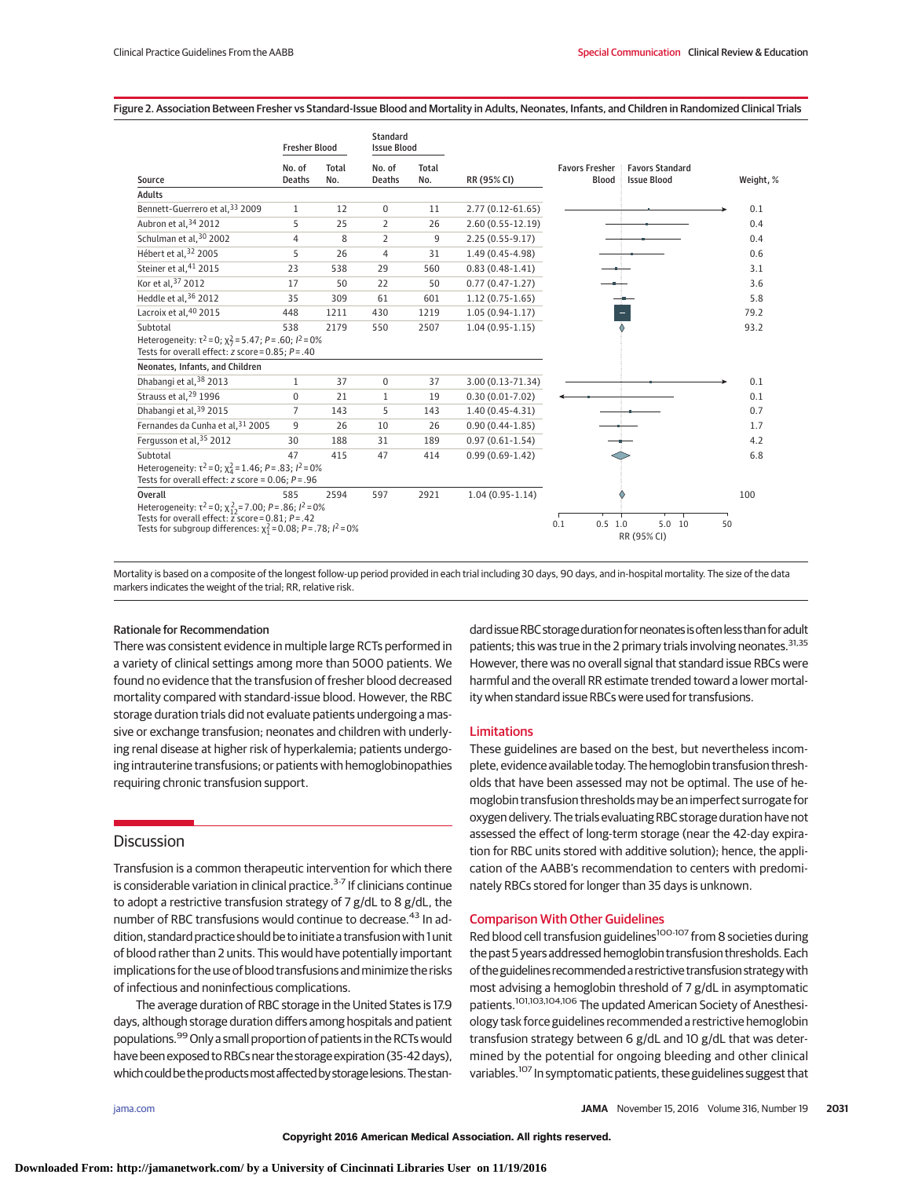#### Figure 2. Association Between Fresher vs Standard-Issue Blood and Mortality in Adults, Neonates, Infants, and Children in Randomized Clinical Trials

|                                                                                                                                                                                                                           | <b>Fresher Blood</b>    |              | <b>Standard</b><br><b>Issue Blood</b> |              |                      |                                |                                              |           |  |
|---------------------------------------------------------------------------------------------------------------------------------------------------------------------------------------------------------------------------|-------------------------|--------------|---------------------------------------|--------------|----------------------|--------------------------------|----------------------------------------------|-----------|--|
| Source                                                                                                                                                                                                                    | No. of<br><b>Deaths</b> | Total<br>No. | No. of<br><b>Deaths</b>               | Total<br>No. | RR (95% CI)          | <b>Favors Fresher</b><br>Blood | <b>Favors Standard</b><br><b>Issue Blood</b> | Weight, % |  |
| Adults                                                                                                                                                                                                                    |                         |              |                                       |              |                      |                                |                                              |           |  |
| Bennett-Guerrero et al, 33 2009                                                                                                                                                                                           | $\mathbf{1}$            | 12           | 0                                     | 11           | $2.77(0.12 - 61.65)$ |                                |                                              | 0.1       |  |
| Aubron et al. <sup>34</sup> 2012                                                                                                                                                                                          | 5                       | 25           | 2                                     | 26           | $2.60(0.55 - 12.19)$ |                                |                                              | 0.4       |  |
| Schulman et al, 30 2002                                                                                                                                                                                                   | 4                       | 8            | $\overline{2}$                        | 9            | $2.25(0.55-9.17)$    |                                |                                              | 0.4       |  |
| Hébert et al, 32 2005                                                                                                                                                                                                     | 5                       | 26           | 4                                     | 31           | $1.49(0.45 - 4.98)$  |                                |                                              | 0.6       |  |
| Steiner et al. <sup>41</sup> 2015                                                                                                                                                                                         | 23                      | 538          | 29                                    | 560          | $0.83(0.48-1.41)$    |                                |                                              | 3.1       |  |
| Kor et al, 37 2012                                                                                                                                                                                                        | 17                      | 50           | 22                                    | 50           | $0.77(0.47 - 1.27)$  |                                |                                              | 3.6       |  |
| Heddle et al, 36 2012                                                                                                                                                                                                     | 35                      | 309          | 61                                    | 601          | $1.12(0.75 - 1.65)$  |                                |                                              | 5.8       |  |
| Lacroix et al, 40 2015                                                                                                                                                                                                    | 448                     | 1211         | 430                                   | 1219         | $1.05(0.94-1.17)$    |                                |                                              | 79.2      |  |
| Subtotal<br>Heterogeneity: $\tau^2 = 0$ ; $\chi^2 = 5.47$ ; $P = .60$ ; $I^2 = 0\%$<br>Tests for overall effect: $z$ score = 0.85; $P = .40$                                                                              | 538                     | 2179         | 550                                   | 2507         | $1.04(0.95 - 1.15)$  |                                |                                              | 93.2      |  |
| Neonates, Infants, and Children                                                                                                                                                                                           |                         |              |                                       |              |                      |                                |                                              |           |  |
| Dhabangi et al, 38 2013                                                                                                                                                                                                   | $\mathbf{1}$            | 37           | 0                                     | 37           | 3.00 (0.13-71.34)    |                                |                                              | 0.1       |  |
| Strauss et al, <sup>29</sup> 1996                                                                                                                                                                                         | $\mathbf 0$             | 21           | $\mathbf{1}$                          | 19           | $0.30(0.01 - 7.02)$  |                                |                                              | 0.1       |  |
| Dhabangi et al, 39 2015                                                                                                                                                                                                   | $\overline{7}$          | 143          | 5                                     | 143          | $1.40(0.45 - 4.31)$  |                                |                                              | 0.7       |  |
| Fernandes da Cunha et al, 31 2005                                                                                                                                                                                         | 9                       | 26           | 10                                    | 26           | $0.90(0.44 - 1.85)$  |                                |                                              | 1.7       |  |
| Fergusson et al, 35 2012                                                                                                                                                                                                  | 30                      | 188          | 31                                    | 189          | $0.97(0.61 - 1.54)$  |                                |                                              | 4.2       |  |
| Subtotal<br>Heterogeneity: $\tau^2 = 0$ ; $\chi^2 = 1.46$ ; P = .83; $l^2 = 0\%$<br>Tests for overall effect: $z$ score = 0.06; $P = .96$                                                                                 | 47                      | 415          | 47                                    | 414          | $0.99(0.69 - 1.42)$  |                                |                                              | 6.8       |  |
| Overall                                                                                                                                                                                                                   | 585                     | 2594         | 597                                   | 2921         | $1.04(0.95-1.14)$    |                                |                                              | 100       |  |
| Heterogeneity: $\tau^2 = 0$ ; $\chi_{12}^2 = 7.00$ ; $P = .86$ ; $I^2 = 0\%$<br>Tests for overall effect: $2\overline{5}$ score = 0.81; P = .42<br>Tests for subgroup differences: $\chi_1^2$ = 0.08; P = .78; $l^2$ = 0% |                         |              |                                       |              |                      | 0.1<br>$0.5$ 1.0               | $5.0$ 10<br>RR (95% CI)                      | 50        |  |

Mortality is based on a composite of the longest follow-up period provided in each trial including 30 days, 90 days, and in-hospital mortality. The size of the data markers indicates the weight of the trial; RR, relative risk.

#### Rationale for Recommendation

There was consistent evidence in multiple large RCTs performed in a variety of clinical settings among more than 5000 patients. We found no evidence that the transfusion of fresher blood decreased mortality compared with standard-issue blood. However, the RBC storage duration trials did not evaluate patients undergoing a massive or exchange transfusion; neonates and children with underlying renal disease at higher risk of hyperkalemia; patients undergoing intrauterine transfusions; or patients with hemoglobinopathies requiring chronic transfusion support.

## **Discussion**

Transfusion is a common therapeutic intervention for which there is considerable variation in clinical practice.<sup>3-7</sup> If clinicians continue to adopt a restrictive transfusion strategy of 7 g/dL to 8 g/dL, the number of RBC transfusions would continue to decrease.<sup>43</sup> In addition, standard practice should be to initiate a transfusion with 1 unit of blood rather than 2 units. This would have potentially important implications for the use of blood transfusions and minimize the risks of infectious and noninfectious complications.

The average duration of RBC storage in the United States is 17.9 days, although storage duration differs among hospitals and patient populations.<sup>99</sup> Only a small proportion of patients in the RCTs would have been exposed to RBCs near the storage expiration (35-42 days), which could be the products most affected by storage lesions. The standard issue RBC storage duration for neonates is often less than for adult patients; this was true in the 2 primary trials involving neonates.<sup>31,35</sup> However, there was no overall signal that standard issue RBCs were harmful and the overall RR estimate trended toward a lower mortality when standard issue RBCs were used for transfusions.

#### Limitations

These guidelines are based on the best, but nevertheless incomplete, evidence available today. The hemoglobin transfusion thresholds that have been assessed may not be optimal. The use of hemoglobin transfusion thresholds may be an imperfect surrogate for oxygen delivery. The trials evaluating RBC storage duration have not assessed the effect of long-term storage (near the 42-day expiration for RBC units stored with additive solution); hence, the application of the AABB's recommendation to centers with predominately RBCs stored for longer than 35 days is unknown.

#### Comparison With Other Guidelines

Red blood cell transfusion guidelines<sup>100-107</sup> from 8 societies during the past 5 years addressed hemoglobin transfusion thresholds. Each of the guidelines recommendeda restrictive transfusion strategywith most advising a hemoglobin threshold of 7 g/dL in asymptomatic patients.101,103,104,106 The updated American Society of Anesthesiology task force guidelines recommended a restrictive hemoglobin transfusion strategy between 6 g/dL and 10 g/dL that was determined by the potential for ongoing bleeding and other clinical variables.<sup>107</sup> In symptomatic patients, these guidelines suggest that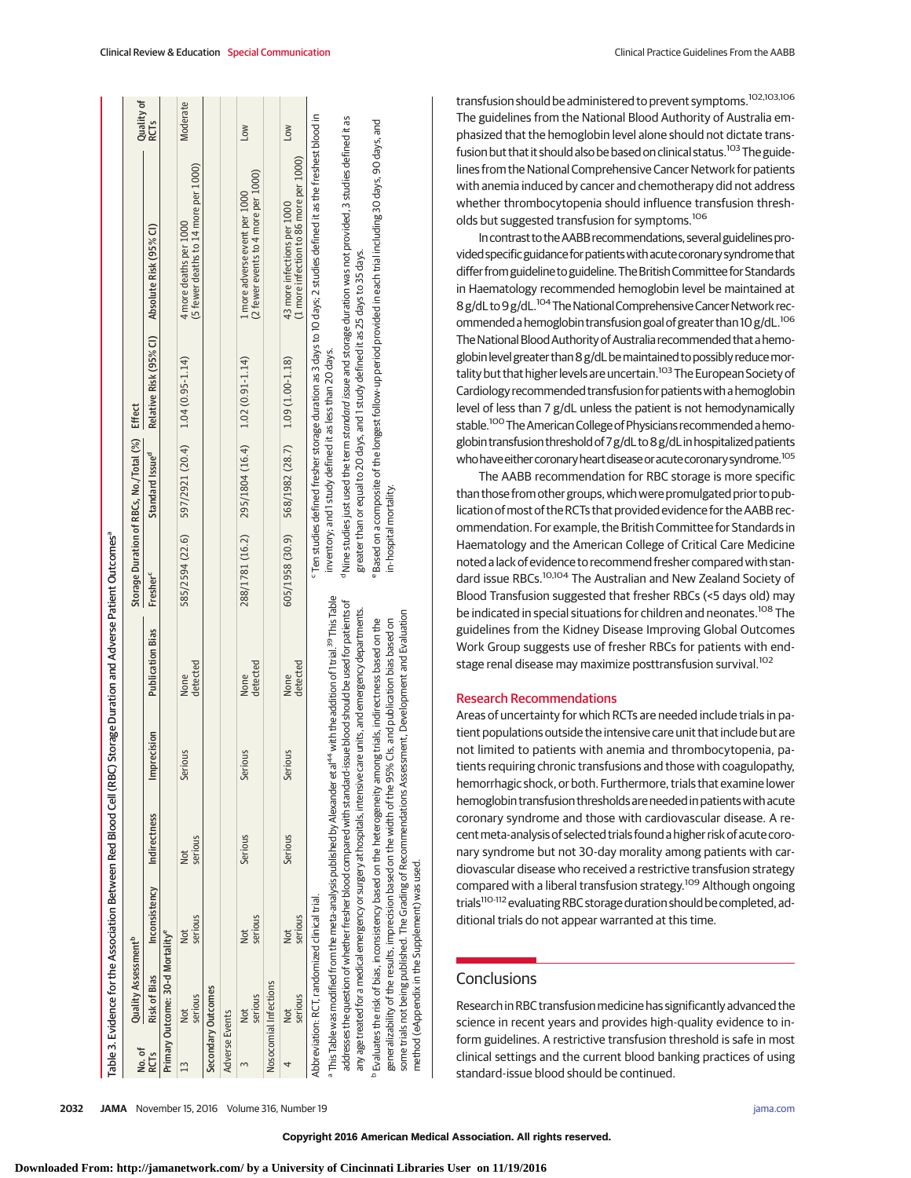|                  |                                               | Table 3. Evidence for the Association Between Red Blood Cell (RBC) |              |                       | Storage Duration and Adverse Patient Outcomes <sup>a</sup>                                                                                                                                                                                                                                                                              |                        |                                                         |                                                                                 |                                                                                                                               |                  |
|------------------|-----------------------------------------------|--------------------------------------------------------------------|--------------|-----------------------|-----------------------------------------------------------------------------------------------------------------------------------------------------------------------------------------------------------------------------------------------------------------------------------------------------------------------------------------|------------------------|---------------------------------------------------------|---------------------------------------------------------------------------------|-------------------------------------------------------------------------------------------------------------------------------|------------------|
| No. of           | Quality Assessment <sup>b</sup>               |                                                                    |              |                       |                                                                                                                                                                                                                                                                                                                                         |                        | Storage Duration of RBCs, No./Total (%)                 | Effect                                                                          |                                                                                                                               | Quality of       |
| RCT <sub>S</sub> | Risk of Bias                                  | Inconsistency                                                      | Indirectness | recision<br><u>ng</u> | <b>Publication Bias</b>                                                                                                                                                                                                                                                                                                                 | Fresher <sup>c</sup>   | Standard Issue <sup>d</sup>                             | Relative Risk (95% Cl)                                                          | Absolute Risk (95% CI)                                                                                                        | RCT <sub>S</sub> |
|                  | Primary Outcome: 30-d Mortality <sup>e</sup>  |                                                                    |              |                       |                                                                                                                                                                                                                                                                                                                                         |                        |                                                         |                                                                                 |                                                                                                                               |                  |
| 13               | Serious<br>Not                                | serious<br>Not                                                     | serious<br>ğ | Serious               | detected<br>None                                                                                                                                                                                                                                                                                                                        | 585/2594 (22.6)        | 597/2921 (20.4) 1.04 (0.95-1.14)                        |                                                                                 | (5 fewer deaths to 14 more per 1000)<br>4 more deaths per 1000                                                                | Moderate         |
|                  | Secondary Outcomes                            |                                                                    |              |                       |                                                                                                                                                                                                                                                                                                                                         |                        |                                                         |                                                                                 |                                                                                                                               |                  |
| Adverse Events   |                                               |                                                                    |              |                       |                                                                                                                                                                                                                                                                                                                                         |                        |                                                         |                                                                                 |                                                                                                                               |                  |
|                  | serious<br>Not                                | serious<br>Not                                                     | Serious      | Serious               | detected<br>None                                                                                                                                                                                                                                                                                                                        |                        | 288/1781 (16.2) 295/1804 (16.4) 1.02 (0.91-1.14)        |                                                                                 | (2 fewer events to 4 more per 1000)<br>1 more adverse event per 1000                                                          | Low              |
|                  | Nosocomial Infections                         |                                                                    |              |                       |                                                                                                                                                                                                                                                                                                                                         |                        |                                                         |                                                                                 |                                                                                                                               |                  |
| 4                | serious<br>Not                                | serious<br>Not                                                     | Serious      | Serious               | detected<br>None                                                                                                                                                                                                                                                                                                                        | 605/1958 (30.9)        | 568/1982 (28.7) 1.09 (1.00-1.18)                        |                                                                                 | (1 more infection to 86 more per 1000)<br>43 more infections per 1000                                                         | Low              |
|                  | Abbreviation: RCT, randomized clinical trial. |                                                                    |              |                       |                                                                                                                                                                                                                                                                                                                                         |                        |                                                         |                                                                                 | <sup>c</sup> Ten studies defined fresher storage duration as 3 days to 10 days; 2 studies defined it as the freshest blood in |                  |
|                  |                                               |                                                                    |              |                       | This Table was modified from the meta-analysis published by Alexander et al <sup>44</sup> with the addition of 1 trial. <sup>39</sup> This Table                                                                                                                                                                                        |                        | inventory; and 1 study defined it as less than 20 days. |                                                                                 |                                                                                                                               |                  |
|                  |                                               |                                                                    |              |                       | addresses the question of whether fresher blood compared with standard-issue blood should be used for patients of<br>any age treated for a medical emergency or surgery at hospitals, intensive care units, and emergency departments.                                                                                                  |                        |                                                         | greater than or equal to 20 days, and 1 study defined it as 25 days to 35 days. | <sup>d</sup> Nine studies just used the term standard issue and storage duration was not provided, 3 studies defined it as    |                  |
|                  |                                               |                                                                    |              |                       | some trials not being published. The Grading of Recommendations Assessment, Development and Evaluation<br>Evaluates the risk of bias, inconsistency based on the heterogeneity among trials, indirectness based on the<br>generalizability of the results, imprecision based on the width of the 95% CIs, and publication bias based on | in-hospital mortality. |                                                         |                                                                                 | <sup>e</sup> Based on a composite of the longest follow-up period provided in each trial including 30 days, 90 days, and      |                  |

transfusion should be administered to prevent symptoms.102,103,106 The guidelines from the National Blood Authority of Australia emphasized that the hemoglobin level alone should not dictate transfusion but that it should also be based on clinical status.<sup>103</sup> The guidelines from the National Comprehensive Cancer Network for patients with anemia induced by cancer and chemotherapy did not address whether thrombocytopenia should influence transfusion thresholds but suggested transfusion for symptoms.<sup>106</sup>

In contrast to the AABB recommendations, several guidelines provided specific guidance for patients with acute coronary syndrome that differ from guideline to guideline. The British Committee for Standards in Haematology recommended hemoglobin level be maintained at 8 g/dL to 9 g/dL.<sup>104</sup> The National Comprehensive Cancer Network recommended a hemoglobin transfusion goal of greater than 10  $g/dL$ .<sup>106</sup> The National Blood Authority of Australia recommended that a hemoglobin level greater than 8 g/dL be maintained to possibly reduce mortality but that higher levels are uncertain.<sup>103</sup> The European Society of Cardiology recommended transfusion for patients with a hemoglobin level of less than 7 g/dL unless the patient is not hemodynamically stable.<sup>100</sup> The American College of Physicians recommended a hemoglobin transfusion threshold of 7 g/dL to 8 g/dL in hospitalized patients who have either coronary heart disease or acute coronary syndrome.<sup>105</sup>

The AABB recommendation for RBC storage is more specific than those from other groups, which were promulgated prior to publication of most of the RCTs that provided evidence for the AABB recommendation. For example, the British Committee for Standards in Haematology and the American College of Critical Care Medicine noted a lack of evidence to recommend fresher compared with standard issue RBCs.<sup>10,104</sup> The Australian and New Zealand Society of Blood Transfusion suggested that fresher RBCs (<5 days old) may be indicated in special situations for children and neonates.<sup>108</sup> The guidelines from the Kidney Disease Improving Global Outcomes Work Group suggests use of fresher RBCs for patients with endstage renal disease may maximize posttransfusion survival.<sup>102</sup>

### Research Recommendations

Areas of uncertainty for which RCTs are needed include trials in patient populations outside the intensive care unit that include but are not limited to patients with anemia and thrombocytopenia, patients requiring chronic transfusions and those with coagulopathy, hemorrhagic shock, or both. Furthermore, trials that examine lower hemoglobin transfusion thresholds are needed in patients with acute coronary syndrome and those with cardiovascular disease. A recent meta-analysis of selected trials found a higher risk of acute coronary syndrome but not 30-day morality among patients with cardiovascular disease who received a restrictive transfusion strategy compared with a liberal transfusion strategy.<sup>109</sup> Although ongoing trials<sup>110-112</sup> evaluating RBC storage duration should be completed, additional trials do not appear warranted at this time.

## **Conclusions**

Research in RBC transfusion medicine has significantly advanced the science in recent years and provides high-quality evidence to inform guidelines. A restrictive transfusion threshold is safe in most clinical settings and the current blood banking practices of using standard-issue blood should be continued.

method (eAppendix in the Supplement) was used.

method (eAppendix in the Supplement) was used.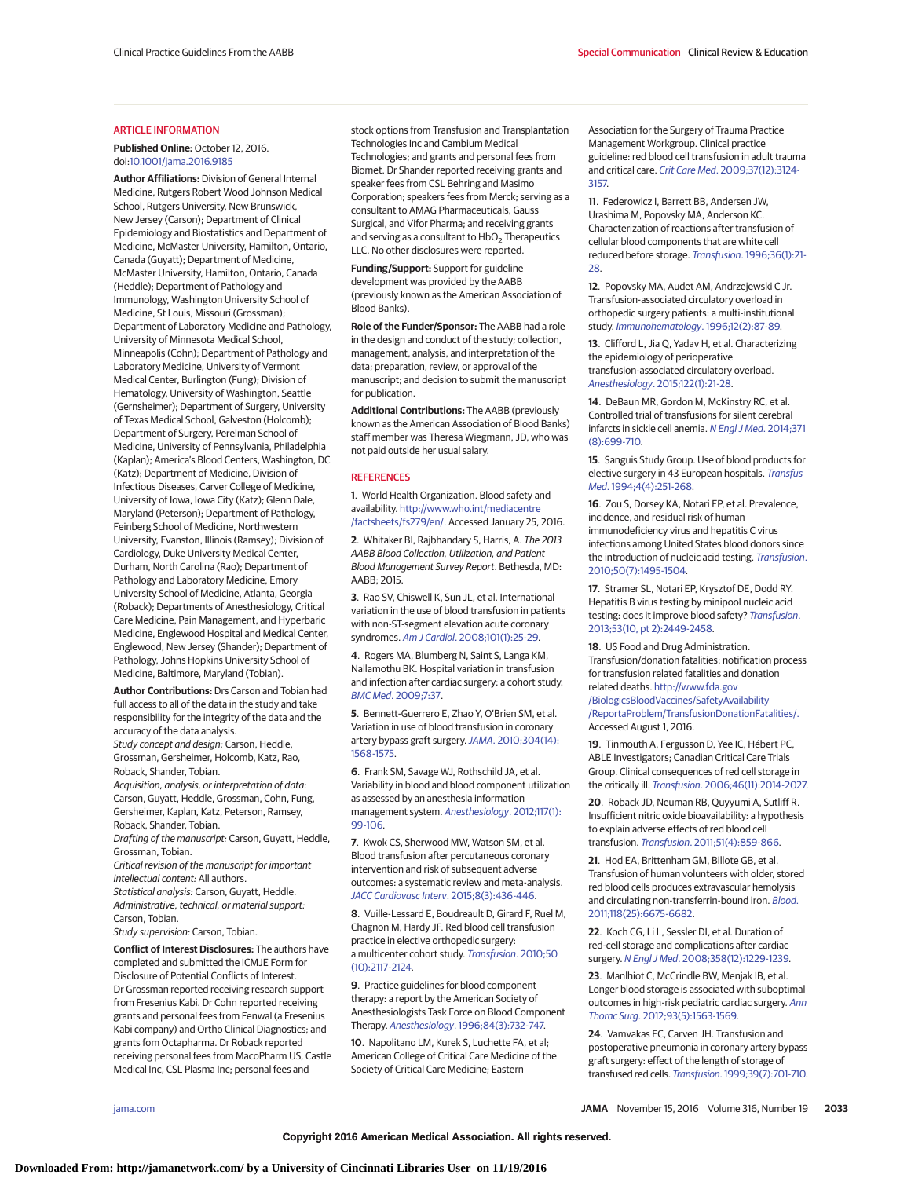#### ARTICLE INFORMATION

**Published Online:** October 12, 2016. doi[:10.1001/jama.2016.9185](http://jama.jamanetwork.com/article.aspx?doi=10.1001/jama.2016.9185&utm_campaign=articlePDF%26utm_medium=articlePDFlink%26utm_source=articlePDF%26utm_content=jama.2016.9185)

**Author Affiliations:** Division of General Internal Medicine, Rutgers Robert Wood Johnson Medical School, Rutgers University, New Brunswick, New Jersey (Carson); Department of Clinical Epidemiology and Biostatistics and Department of Medicine, McMaster University, Hamilton, Ontario, Canada (Guyatt); Department of Medicine, McMaster University, Hamilton, Ontario, Canada (Heddle); Department of Pathology and Immunology, Washington University School of Medicine, St Louis, Missouri (Grossman); Department of Laboratory Medicine and Pathology, University of Minnesota Medical School, Minneapolis (Cohn); Department of Pathology and Laboratory Medicine, University of Vermont Medical Center, Burlington (Fung); Division of Hematology, University of Washington, Seattle (Gernsheimer); Department of Surgery, University of Texas Medical School, Galveston (Holcomb); Department of Surgery, Perelman School of Medicine, University of Pennsylvania, Philadelphia (Kaplan); America's Blood Centers, Washington, DC (Katz); Department of Medicine, Division of Infectious Diseases, Carver College of Medicine, University of Iowa, Iowa City (Katz); Glenn Dale, Maryland (Peterson); Department of Pathology, Feinberg School of Medicine, Northwestern University, Evanston, Illinois (Ramsey); Division of Cardiology, Duke University Medical Center, Durham, North Carolina (Rao); Department of Pathology and Laboratory Medicine, Emory University School of Medicine, Atlanta, Georgia (Roback); Departments of Anesthesiology, Critical Care Medicine, Pain Management, and Hyperbaric Medicine, Englewood Hospital and Medical Center, Englewood, New Jersey (Shander); Department of Pathology, Johns Hopkins University School of Medicine, Baltimore, Maryland (Tobian).

**Author Contributions:** Drs Carson and Tobian had full access to all of the data in the study and take responsibility for the integrity of the data and the accuracy of the data analysis. Study concept and design: Carson, Heddle,

Grossman, Gersheimer, Holcomb, Katz, Rao, Roback, Shander, Tobian.

Acquisition, analysis, or interpretation of data: Carson, Guyatt, Heddle, Grossman, Cohn, Fung, Gersheimer, Kaplan, Katz, Peterson, Ramsey, Roback, Shander, Tobian.

Drafting of the manuscript: Carson, Guyatt, Heddle, Grossman, Tobian.

Critical revision of the manuscript for important intellectual content: All authors.

Statistical analysis: Carson, Guyatt, Heddle. Administrative, technical, or material support:

Carson, Tobian.

Study supervision: Carson, Tobian.

**Conflict of Interest Disclosures:** The authors have completed and submitted the ICMJE Form for Disclosure of Potential Conflicts of Interest. Dr Grossman reported receiving research support from Fresenius Kabi. Dr Cohn reported receiving grants and personal fees from Fenwal (a Fresenius Kabi company) and Ortho Clinical Diagnostics; and grants fom Octapharma. Dr Roback reported receiving personal fees from MacoPharm US, Castle Medical Inc, CSL Plasma Inc; personal fees and

stock options from Transfusion and Transplantation Technologies Inc and Cambium Medical Technologies; and grants and personal fees from Biomet. Dr Shander reported receiving grants and speaker fees from CSL Behring and Masimo Corporation; speakers fees from Merck; serving as a consultant to AMAG Pharmaceuticals, Gauss Surgical, and Vifor Pharma; and receiving grants and serving as a consultant to  $HbO<sub>2</sub>$  Therapeutics LLC. No other disclosures were reported.

**Funding/Support:** Support for guideline development was provided by the AABB (previously known as the American Association of Blood Banks).

**Role of the Funder/Sponsor:** The AABB had a role in the design and conduct of the study; collection, management, analysis, and interpretation of the data; preparation, review, or approval of the manuscript; and decision to submit the manuscript for publication.

**Additional Contributions:** The AABB (previously known as the American Association of Blood Banks) staff member was Theresa Wiegmann, JD, who was not paid outside her usual salary.

#### **REFERENCES**

**1**. World Health Organization. Blood safety and availability. [http://www.who.int/mediacentre](http://www.who.int/mediacentre/factsheets/fs279/en/) [/factsheets/fs279/en/.](http://www.who.int/mediacentre/factsheets/fs279/en/) Accessed January 25, 2016.

**2**. Whitaker BI, Rajbhandary S, Harris, A. The 2013 AABB Blood Collection, Utilization, and Patient Blood Management Survey Report. Bethesda, MD: AABB; 2015.

**3**. Rao SV, Chiswell K, Sun JL, et al. International variation in the use of blood transfusion in patients with non-ST-segment elevation acute coronary syndromes. Am J Cardiol[. 2008;101\(1\):25-29.](https://www.ncbi.nlm.nih.gov/pubmed/18157960)

**4**. Rogers MA, Blumberg N, Saint S, Langa KM, Nallamothu BK. Hospital variation in transfusion and infection after cardiac surgery: a cohort study. BMC Med[. 2009;7:37.](https://www.ncbi.nlm.nih.gov/pubmed/19646221)

**5**. Bennett-Guerrero E, Zhao Y, O'Brien SM, et al. Variation in use of blood transfusion in coronary artery bypass graft surgery. JAMA[. 2010;304\(14\):](https://www.ncbi.nlm.nih.gov/pubmed/20940382) [1568-1575.](https://www.ncbi.nlm.nih.gov/pubmed/20940382)

**6**. Frank SM, Savage WJ, Rothschild JA, et al. Variability in blood and blood component utilization as assessed by an anesthesia information management system. [Anesthesiology](https://www.ncbi.nlm.nih.gov/pubmed/22531332). 2012;117(1): [99-106.](https://www.ncbi.nlm.nih.gov/pubmed/22531332)

**7**. Kwok CS, Sherwood MW, Watson SM, et al. Blood transfusion after percutaneous coronary intervention and risk of subsequent adverse outcomes: a systematic review and meta-analysis. [JACC Cardiovasc Interv](https://www.ncbi.nlm.nih.gov/pubmed/25703883). 2015;8(3):436-446.

**8**. Vuille-Lessard E, Boudreault D, Girard F, Ruel M, Chagnon M, Hardy JF. Red blood cell transfusion practice in elective orthopedic surgery: a multicenter cohort study. [Transfusion](https://www.ncbi.nlm.nih.gov/pubmed/20492612). 2010;50 [\(10\):2117-2124.](https://www.ncbi.nlm.nih.gov/pubmed/20492612)

**9**. Practice guidelines for blood component therapy: a report by the American Society of Anesthesiologists Task Force on Blood Component Therapy. Anesthesiology[. 1996;84\(3\):732-747.](https://www.ncbi.nlm.nih.gov/pubmed/8659805)

**10**. Napolitano LM, Kurek S, Luchette FA, et al; American College of Critical Care Medicine of the Society of Critical Care Medicine; Eastern

Association for the Surgery of Trauma Practice Management Workgroup. Clinical practice guideline: red blood cell transfusion in adult trauma and critical care. Crit Care Med[. 2009;37\(12\):3124-](https://www.ncbi.nlm.nih.gov/pubmed/19773646) [3157.](https://www.ncbi.nlm.nih.gov/pubmed/19773646)

**11**. Federowicz I, Barrett BB, Andersen JW Urashima M, Popovsky MA, Anderson KC. Characterization of reactions after transfusion of cellular blood components that are white cell reduced before storage. Transfusion[. 1996;36\(1\):21-](https://www.ncbi.nlm.nih.gov/pubmed/8607149) [28.](https://www.ncbi.nlm.nih.gov/pubmed/8607149)

**12**. Popovsky MA, Audet AM, Andrzejewski C Jr. Transfusion-associated circulatory overload in orthopedic surgery patients: a multi-institutional study. [Immunohematology](https://www.ncbi.nlm.nih.gov/pubmed/15387748). 1996;12(2):87-89.

**13**. Clifford L, Jia Q, Yadav H, et al. Characterizing the epidemiology of perioperative transfusion-associated circulatory overload. Anesthesiology[. 2015;122\(1\):21-28.](https://www.ncbi.nlm.nih.gov/pubmed/25611653)

**14**. DeBaun MR, Gordon M, McKinstry RC, et al. Controlled trial of transfusions for silent cerebral infarcts in sickle cell anemia. [N Engl J Med](https://www.ncbi.nlm.nih.gov/pubmed/25140956). 2014;371 [\(8\):699-710.](https://www.ncbi.nlm.nih.gov/pubmed/25140956)

**15**. Sanguis Study Group. Use of blood products for elective surgery in 43 European hospitals. [Transfus](https://www.ncbi.nlm.nih.gov/pubmed/7889138) Med[. 1994;4\(4\):251-268.](https://www.ncbi.nlm.nih.gov/pubmed/7889138)

**16**. Zou S, Dorsey KA, Notari EP, et al. Prevalence, incidence, and residual risk of human immunodeficiency virus and hepatitis C virus infections among United States blood donors since the introduction of nucleic acid testing. [Transfusion](https://www.ncbi.nlm.nih.gov/pubmed/20345570). [2010;50\(7\):1495-1504.](https://www.ncbi.nlm.nih.gov/pubmed/20345570)

**17**. Stramer SL, Notari EP, Krysztof DE, Dodd RY. Hepatitis B virus testing by minipool nucleic acid testing: does it improve blood safety? [Transfusion](https://www.ncbi.nlm.nih.gov/pubmed/23607261). [2013;53\(10, pt 2\):2449-2458.](https://www.ncbi.nlm.nih.gov/pubmed/23607261)

**18**. US Food and Drug Administration. Transfusion/donation fatalities: notification process for transfusion related fatalities and donation related deaths. [http://www.fda.gov](http://www.fda.gov/BiologicsBloodVaccines/SafetyAvailability/ReportaProblem/TransfusionDonationFatalities/) [/BiologicsBloodVaccines/SafetyAvailability](http://www.fda.gov/BiologicsBloodVaccines/SafetyAvailability/ReportaProblem/TransfusionDonationFatalities/) [/ReportaProblem/TransfusionDonationFatalities/.](http://www.fda.gov/BiologicsBloodVaccines/SafetyAvailability/ReportaProblem/TransfusionDonationFatalities/) Accessed August 1, 2016.

**19**. Tinmouth A, Fergusson D, Yee IC, Hébert PC, ABLE Investigators; Canadian Critical Care Trials Group. Clinical consequences of red cell storage in the critically ill. Transfusion[. 2006;46\(11\):2014-2027.](https://www.ncbi.nlm.nih.gov/pubmed/17076859)

**20**. Roback JD, Neuman RB, Quyyumi A, Sutliff R. Insufficient nitric oxide bioavailability: a hypothesis to explain adverse effects of red blood cell transfusion. Transfusion[. 2011;51\(4\):859-866.](https://www.ncbi.nlm.nih.gov/pubmed/21496047)

**21**. Hod EA, Brittenham GM, Billote GB, et al. Transfusion of human volunteers with older, stored red blood cells produces extravascular hemolysis and circulating non-transferrin-bound iron. [Blood](https://www.ncbi.nlm.nih.gov/pubmed/22021369). [2011;118\(25\):6675-6682.](https://www.ncbi.nlm.nih.gov/pubmed/22021369)

**22**. Koch CG, Li L, Sessler DI, et al. Duration of red-cell storage and complications after cardiac surgery. N Engl J Med[. 2008;358\(12\):1229-1239.](https://www.ncbi.nlm.nih.gov/pubmed/18354101)

**23**. Manlhiot C, McCrindle BW, Menjak IB, et al. Longer blood storage is associated with suboptimal outcomes in high-risk pediatric cardiac surgery. [Ann](https://www.ncbi.nlm.nih.gov/pubmed/22137242) Thorac Surg[. 2012;93\(5\):1563-1569.](https://www.ncbi.nlm.nih.gov/pubmed/22137242)

**24**. Vamvakas EC, Carven JH. Transfusion and postoperative pneumonia in coronary artery bypass graft surgery: effect of the length of storage of transfused red cells. Transfusion[. 1999;39\(7\):701-710.](https://www.ncbi.nlm.nih.gov/pubmed/10413277)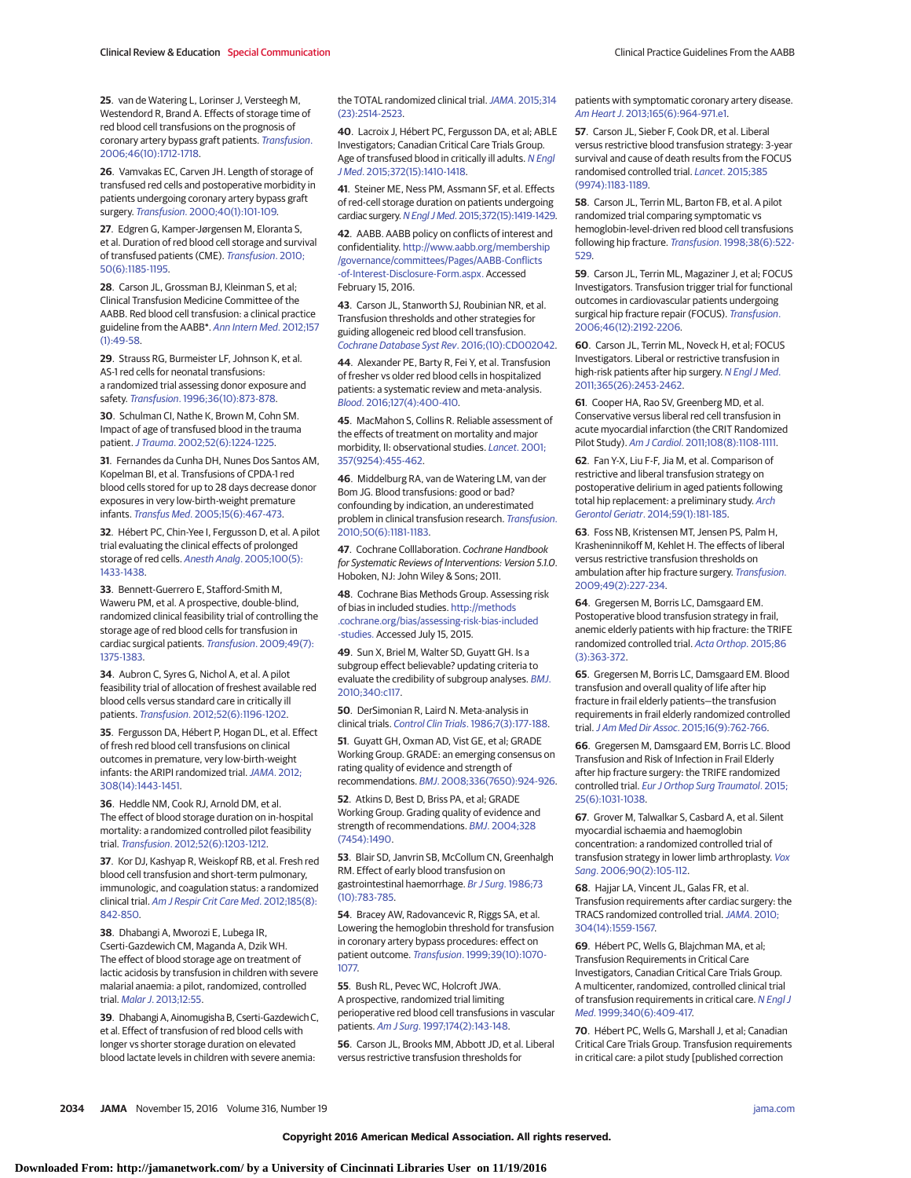**25**. van de Watering L, Lorinser J, Versteegh M, Westendord R, Brand A. Effects of storage time of red blood cell transfusions on the prognosis of coronary artery bypass graft patients. [Transfusion](https://www.ncbi.nlm.nih.gov/pubmed/17002627). [2006;46\(10\):1712-1718.](https://www.ncbi.nlm.nih.gov/pubmed/17002627)

**26**. Vamvakas EC, Carven JH. Length of storage of transfused red cells and postoperative morbidity in patients undergoing coronary artery bypass graft surgery. Transfusion[. 2000;40\(1\):101-109.](https://www.ncbi.nlm.nih.gov/pubmed/10644819)

**27**. Edgren G, Kamper-Jørgensen M, Eloranta S, et al. Duration of red blood cell storage and survival of transfused patients (CME). [Transfusion](https://www.ncbi.nlm.nih.gov/pubmed/20158690). 2010; [50\(6\):1185-1195.](https://www.ncbi.nlm.nih.gov/pubmed/20158690)

**28**. Carson JL, Grossman BJ, Kleinman S, et al; Clinical Transfusion Medicine Committee of the AABB. Red blood cell transfusion: a clinical practice guideline from the AABB\*. [Ann Intern Med](https://www.ncbi.nlm.nih.gov/pubmed/22751760). 2012;157 [\(1\):49-58.](https://www.ncbi.nlm.nih.gov/pubmed/22751760)

**29**. Strauss RG, Burmeister LF, Johnson K, et al. AS-1 red cells for neonatal transfusions: a randomized trial assessing donor exposure and safety. Transfusion[. 1996;36\(10\):873-878.](https://www.ncbi.nlm.nih.gov/pubmed/8863773)

**30**. Schulman CI, Nathe K, Brown M, Cohn SM. Impact of age of transfused blood in the trauma patient.J Trauma[. 2002;52\(6\):1224-1225.](https://www.ncbi.nlm.nih.gov/pubmed/12045660)

**31**. Fernandes da Cunha DH, Nunes Dos Santos AM, Kopelman BI, et al. Transfusions of CPDA-1 red blood cells stored for up to 28 days decrease donor exposures in very low-birth-weight premature infants. Transfus Med[. 2005;15\(6\):467-473.](https://www.ncbi.nlm.nih.gov/pubmed/16359417)

**32**. Hébert PC, Chin-Yee I, Fergusson D, et al. A pilot trial evaluating the clinical effects of prolonged storage of red cells. Anesth Analg[. 2005;100\(5\):](https://www.ncbi.nlm.nih.gov/pubmed/15845701) [1433-1438.](https://www.ncbi.nlm.nih.gov/pubmed/15845701)

**33**. Bennett-Guerrero E, Stafford-Smith M, Waweru PM, et al. A prospective, double-blind, randomized clinical feasibility trial of controlling the storage age of red blood cells for transfusion in cardiac surgical patients. Transfusion[. 2009;49\(7\):](https://www.ncbi.nlm.nih.gov/pubmed/19389021) [1375-1383.](https://www.ncbi.nlm.nih.gov/pubmed/19389021)

**34**. Aubron C, Syres G, Nichol A, et al. A pilot feasibility trial of allocation of freshest available red blood cells versus standard care in critically ill patients. Transfusion[. 2012;52\(6\):1196-1202.](https://www.ncbi.nlm.nih.gov/pubmed/22082281)

**35**. Fergusson DA, Hébert P, Hogan DL, et al. Effect of fresh red blood cell transfusions on clinical outcomes in premature, very low-birth-weight infants: the ARIPI randomized trial. JAMA[. 2012;](https://www.ncbi.nlm.nih.gov/pubmed/23045213) [308\(14\):1443-1451.](https://www.ncbi.nlm.nih.gov/pubmed/23045213)

**36**. Heddle NM, Cook RJ, Arnold DM, et al. The effect of blood storage duration on in-hospital mortality: a randomized controlled pilot feasibility trial. Transfusion[. 2012;52\(6\):1203-1212.](https://www.ncbi.nlm.nih.gov/pubmed/22257314)

**37**. Kor DJ, Kashyap R, Weiskopf RB, et al. Fresh red blood cell transfusion and short-term pulmonary, immunologic, and coagulation status: a randomized clinical trial. [Am J Respir Crit Care Med](https://www.ncbi.nlm.nih.gov/pubmed/22281833). 2012;185(8): [842-850.](https://www.ncbi.nlm.nih.gov/pubmed/22281833)

**38**. Dhabangi A, Mworozi E, Lubega IR, Cserti-Gazdewich CM, Maganda A, Dzik WH. The effect of blood storage age on treatment of lactic acidosis by transfusion in children with severe malarial anaemia: a pilot, randomized, controlled trial. Malar J[. 2013;12:55.](https://www.ncbi.nlm.nih.gov/pubmed/23388470)

**39**. Dhabangi A, Ainomugisha B, Cserti-Gazdewich C, et al. Effect of transfusion of red blood cells with longer vs shorter storage duration on elevated blood lactate levels in children with severe anemia:

the TOTAL randomized clinical trial. JAMA. 2015:314 [\(23\):2514-2523.](https://www.ncbi.nlm.nih.gov/pubmed/26637812)

**40**. Lacroix J, Hébert PC, Fergusson DA, et al; ABLE Investigators; Canadian Critical Care Trials Group. Age of transfused blood in critically ill adults. [N Engl](https://www.ncbi.nlm.nih.gov/pubmed/25853745) J Med[. 2015;372\(15\):1410-1418.](https://www.ncbi.nlm.nih.gov/pubmed/25853745)

**41**. Steiner ME, Ness PM, Assmann SF, et al. Effects of red-cell storage duration on patients undergoing cardiac surgery.N Engl J Med[. 2015;372\(15\):1419-1429.](https://www.ncbi.nlm.nih.gov/pubmed/25853746)

**42**. AABB. AABB policy on conflicts of interest and confidentiality. [http://www.aabb.org/membership](http://www.aabb.org/membership/governance/committees/Pages/AABB-Conflicts-of-Interest-Disclosure-Form.aspx) [/governance/committees/Pages/AABB-Conflicts](http://www.aabb.org/membership/governance/committees/Pages/AABB-Conflicts-of-Interest-Disclosure-Form.aspx) [-of-Interest-Disclosure-Form.aspx.](http://www.aabb.org/membership/governance/committees/Pages/AABB-Conflicts-of-Interest-Disclosure-Form.aspx) Accessed February 15, 2016.

**43**. Carson JL, Stanworth SJ, Roubinian NR, et al. Transfusion thresholds and other strategies for guiding allogeneic red blood cell transfusion. [Cochrane Database Syst Rev](https://www.ncbi.nlm.nih.gov/pubmed/22513904). 2016;(10):CD002042.

**44**. Alexander PE, Barty R, Fei Y, et al. Transfusion of fresher vs older red blood cells in hospitalized patients: a systematic review and meta-analysis. Blood[. 2016;127\(4\):400-410.](https://www.ncbi.nlm.nih.gov/pubmed/26626995)

**45**. MacMahon S, Collins R. Reliable assessment of the effects of treatment on mortality and major morbidity, II: observational studies. Lancet[. 2001;](https://www.ncbi.nlm.nih.gov/pubmed/11273081) [357\(9254\):455-462.](https://www.ncbi.nlm.nih.gov/pubmed/11273081)

**46**. Middelburg RA, van de Watering LM, van der Bom JG. Blood transfusions: good or bad? confounding by indication, an underestimated problem in clinical transfusion research. [Transfusion](https://www.ncbi.nlm.nih.gov/pubmed/20456689). [2010;50\(6\):1181-1183.](https://www.ncbi.nlm.nih.gov/pubmed/20456689)

**47**. Cochrane Colllaboration. Cochrane Handbook for Systematic Reviews of Interventions: Version 5.1.0. Hoboken, NJ: John Wiley & Sons; 2011.

**48**. Cochrane Bias Methods Group. Assessing risk of bias in included studies. [http://methods](http://methods.cochrane.org/bias/assessing-risk-bias-included-studies) [.cochrane.org/bias/assessing-risk-bias-included](http://methods.cochrane.org/bias/assessing-risk-bias-included-studies) [-studies.](http://methods.cochrane.org/bias/assessing-risk-bias-included-studies) Accessed July 15, 2015.

**49**. Sun X, Briel M, Walter SD, Guyatt GH. Is a subgroup effect believable? updating criteria to evaluate the credibility of subgroup analyses. [BMJ](https://www.ncbi.nlm.nih.gov/pubmed/20354011). [2010;340:c117.](https://www.ncbi.nlm.nih.gov/pubmed/20354011)

**50**. DerSimonian R, Laird N. Meta-analysis in clinical trials. Control Clin Trials[. 1986;7\(3\):177-188.](https://www.ncbi.nlm.nih.gov/pubmed/3802833)

**51**. Guyatt GH, Oxman AD, Vist GE, et al; GRADE Working Group. GRADE: an emerging consensus on rating quality of evidence and strength of recommendations. BMJ[. 2008;336\(7650\):924-926.](https://www.ncbi.nlm.nih.gov/pubmed/18436948)

**52**. Atkins D, Best D, Briss PA, et al; GRADE Working Group. Grading quality of evidence and strength of recommendations. BMJ[. 2004;328](https://www.ncbi.nlm.nih.gov/pubmed/15205295) [\(7454\):1490.](https://www.ncbi.nlm.nih.gov/pubmed/15205295)

**53**. Blair SD, Janvrin SB, McCollum CN, Greenhalgh RM. Effect of early blood transfusion on gastrointestinal haemorrhage. Br J Surg[. 1986;73](https://www.ncbi.nlm.nih.gov/pubmed/3533203) [\(10\):783-785.](https://www.ncbi.nlm.nih.gov/pubmed/3533203)

**54**. Bracey AW, Radovancevic R, Riggs SA, et al. Lowering the hemoglobin threshold for transfusion in coronary artery bypass procedures: effect on patient outcome. Transfusion[. 1999;39\(10\):1070-](https://www.ncbi.nlm.nih.gov/pubmed/10532600) [1077.](https://www.ncbi.nlm.nih.gov/pubmed/10532600)

**55**. Bush RL, Pevec WC, Holcroft JWA. A prospective, randomized trial limiting perioperative red blood cell transfusions in vascular patients. Am J Surg[. 1997;174\(2\):143-148.](https://www.ncbi.nlm.nih.gov/pubmed/9293831)

**56**. Carson JL, Brooks MM, Abbott JD, et al. Liberal versus restrictive transfusion thresholds for

patients with symptomatic coronary artery disease. Am Heart J[. 2013;165\(6\):964-971.e1.](https://www.ncbi.nlm.nih.gov/pubmed/23708168)

**57**. Carson JL, Sieber F, Cook DR, et al. Liberal versus restrictive blood transfusion strategy: 3-year survival and cause of death results from the FOCUS randomised controlled trial. Lancet[. 2015;385](https://www.ncbi.nlm.nih.gov/pubmed/25499165) [\(9974\):1183-1189.](https://www.ncbi.nlm.nih.gov/pubmed/25499165)

**58**. Carson JL, Terrin ML, Barton FB, et al. A pilot randomized trial comparing symptomatic vs hemoglobin-level-driven red blood cell transfusions following hip fracture. Transfusion[. 1998;38\(6\):522-](https://www.ncbi.nlm.nih.gov/pubmed/9661685) [529.](https://www.ncbi.nlm.nih.gov/pubmed/9661685)

**59**. Carson JL, Terrin ML, Magaziner J, et al; FOCUS Investigators. Transfusion trigger trial for functional outcomes in cardiovascular patients undergoing surgical hip fracture repair (FOCUS). [Transfusion](https://www.ncbi.nlm.nih.gov/pubmed/17176334). [2006;46\(12\):2192-2206.](https://www.ncbi.nlm.nih.gov/pubmed/17176334)

**60**. Carson JL, Terrin ML, Noveck H, et al; FOCUS Investigators. Liberal or restrictive transfusion in high-risk patients after hip surgery. [N Engl J Med](https://www.ncbi.nlm.nih.gov/pubmed/22168590). [2011;365\(26\):2453-2462.](https://www.ncbi.nlm.nih.gov/pubmed/22168590)

**61**. Cooper HA, Rao SV, Greenberg MD, et al. Conservative versus liberal red cell transfusion in acute myocardial infarction (the CRIT Randomized Pilot Study). Am J Cardiol[. 2011;108\(8\):1108-1111.](https://www.ncbi.nlm.nih.gov/pubmed/21791325)

**62**. Fan Y-X, Liu F-F, Jia M, et al. Comparison of restrictive and liberal transfusion strategy on postoperative delirium in aged patients following total hip replacement: a preliminary study. [Arch](https://www.ncbi.nlm.nih.gov/pubmed/24745810) Gerontol Geriatr[. 2014;59\(1\):181-185.](https://www.ncbi.nlm.nih.gov/pubmed/24745810)

**63**. Foss NB, Kristensen MT, Jensen PS, Palm H, Krasheninnikoff M, Kehlet H. The effects of liberal versus restrictive transfusion thresholds on ambulation after hip fracture surgery. [Transfusion](https://www.ncbi.nlm.nih.gov/pubmed/19389209). [2009;49\(2\):227-234.](https://www.ncbi.nlm.nih.gov/pubmed/19389209)

**64**. Gregersen M, Borris LC, Damsgaard EM. Postoperative blood transfusion strategy in frail, anemic elderly patients with hip fracture: the TRIFE randomized controlled trial. [Acta Orthop](https://www.ncbi.nlm.nih.gov/pubmed/25586270). 2015;86 [\(3\):363-372.](https://www.ncbi.nlm.nih.gov/pubmed/25586270)

**65**. Gregersen M, Borris LC, Damsgaard EM. Blood transfusion and overall quality of life after hip fracture in frail elderly patients—the transfusion requirements in frail elderly randomized controlled trial.J Am Med Dir Assoc[. 2015;16\(9\):762-766.](https://www.ncbi.nlm.nih.gov/pubmed/25933728)

**66**. Gregersen M, Damsgaard EM, Borris LC. Blood Transfusion and Risk of Infection in Frail Elderly after hip fracture surgery: the TRIFE randomized controlled trial. [Eur J Orthop Surg Traumatol](https://www.ncbi.nlm.nih.gov/pubmed/25690514). 2015; [25\(6\):1031-1038.](https://www.ncbi.nlm.nih.gov/pubmed/25690514)

**67**. Grover M, Talwalkar S, Casbard A, et al. Silent myocardial ischaemia and haemoglobin concentration: a randomized controlled trial of transfusion strategy in lower limb arthroplasty. [Vox](https://www.ncbi.nlm.nih.gov/pubmed/16430668) Sang[. 2006;90\(2\):105-112.](https://www.ncbi.nlm.nih.gov/pubmed/16430668)

**68**. Hajjar LA, Vincent JL, Galas FR, et al. Transfusion requirements after cardiac surgery: the TRACS randomized controlled trial.JAMA[. 2010;](https://www.ncbi.nlm.nih.gov/pubmed/20940381) [304\(14\):1559-1567.](https://www.ncbi.nlm.nih.gov/pubmed/20940381)

**69**. Hébert PC, Wells G, Blajchman MA, et al; Transfusion Requirements in Critical Care Investigators, Canadian Critical Care Trials Group. A multicenter, randomized, controlled clinical trial of transfusion requirements in critical care. [N Engl J](https://www.ncbi.nlm.nih.gov/pubmed/9971864) Med[. 1999;340\(6\):409-417.](https://www.ncbi.nlm.nih.gov/pubmed/9971864)

**70**. Hébert PC, Wells G, Marshall J, et al; Canadian Critical Care Trials Group. Transfusion requirements in critical care: a pilot study [published correction